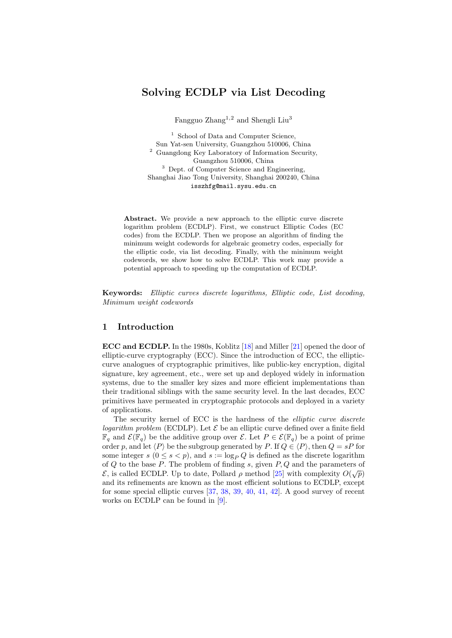# Solving ECDLP via List Decoding

Fangguo Zhang<sup>1,2</sup> and Shengli Liu<sup>3</sup>

<sup>1</sup> School of Data and Computer Science, Sun Yat-sen University, Guangzhou 510006, China  $^2\,$  Guangdong Key Laboratory of Information Security, Guangzhou 510006, China <sup>3</sup> Dept. of Computer Science and Engineering, Shanghai Jiao Tong University, Shanghai 200240, China isszhfg@mail.sysu.edu.cn

Abstract. We provide a new approach to the elliptic curve discrete logarithm problem (ECDLP). First, we construct Elliptic Codes (EC codes) from the ECDLP. Then we propose an algorithm of finding the minimum weight codewords for algebraic geometry codes, especially for the elliptic code, via list decoding. Finally, with the minimum weight codewords, we show how to solve ECDLP. This work may provide a potential approach to speeding up the computation of ECDLP.

Keywords: Elliptic curves discrete logarithms, Elliptic code, List decoding, Minimum weight codewords

## 1 Introduction

ECC and ECDLP. In the 1980s, Koblitz [\[18\]](#page-21-0) and Miller [\[21\]](#page-21-1) opened the door of elliptic-curve cryptography (ECC). Since the introduction of ECC, the ellipticcurve analogues of cryptographic primitives, like public-key encryption, digital signature, key agreement, etc., were set up and deployed widely in information systems, due to the smaller key sizes and more efficient implementations than their traditional siblings with the same security level. In the last decades, ECC primitives have permeated in cryptographic protocols and deployed in a variety of applications.

The security kernel of ECC is the hardness of the elliptic curve discrete logarithm problem (ECDLP). Let  $\mathcal E$  be an elliptic curve defined over a finite field  $\mathbb{F}_q$  and  $\mathcal{E}(\mathbb{F}_q)$  be the additive group over  $\mathcal{E}$ . Let  $P \in \mathcal{E}(\mathbb{F}_q)$  be a point of prime order p, and let  $\langle P \rangle$  be the subgroup generated by P. If  $Q \in \langle P \rangle$ , then  $Q = sP$  for some integer  $s (0 \le s < p)$ , and  $s := \log_P Q$  is defined as the discrete logarithm of  $Q$  to the base  $P$ . The problem of finding  $s$ , given  $P$ ,  $Q$  and the parameters of  $\mathcal{E}$ , is called ECDLP. Up to date, Pollard  $\rho$  method [\[25\]](#page-21-2) with complexity  $O(\sqrt{p})$ and its refinements are known as the most efficient solutions to ECDLP, except for some special elliptic curves [\[37,](#page-22-0) [38,](#page-22-1) [39,](#page-22-2) [40,](#page-22-3) [41,](#page-22-4) [42\]](#page-22-5). A good survey of recent works on ECDLP can be found in [\[9\]](#page-21-3).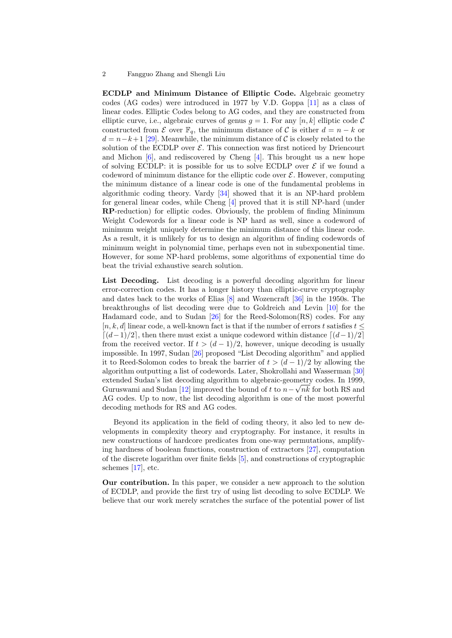ECDLP and Minimum Distance of Elliptic Code. Algebraic geometry codes (AG codes) were introduced in 1977 by V.D. Goppa [\[11\]](#page-21-4) as a class of linear codes. Elliptic Codes belong to AG codes, and they are constructed from elliptic curve, i.e., algebraic curves of genus  $q = 1$ . For any  $[n, k]$  elliptic code C constructed from  $\mathcal E$  over  $\mathbb F_q$ , the minimum distance of  $\mathcal C$  is either  $d = n - k$  or  $d = n - k + 1$  [\[29\]](#page-21-5). Meanwhile, the minimum distance of C is closely related to the solution of the ECDLP over  $\mathcal E$ . This connection was first noticed by Driencourt and Michon [\[6\]](#page-20-0), and rediscovered by Cheng [\[4\]](#page-20-1). This brought us a new hope of solving ECDLP: it is possible for us to solve ECDLP over  $\mathcal E$  if we found a codeword of minimum distance for the elliptic code over  $\mathcal{E}$ . However, computing the minimum distance of a linear code is one of the fundamental problems in algorithmic coding theory. Vardy [\[34\]](#page-22-6) showed that it is an NP-hard problem for general linear codes, while Cheng [\[4\]](#page-20-1) proved that it is still NP-hard (under RP-reduction) for elliptic codes. Obviously, the problem of finding Minimum Weight Codewords for a linear code is NP hard as well, since a codeword of minimum weight uniquely determine the minimum distance of this linear code. As a result, it is unlikely for us to design an algorithm of finding codewords of minimum weight in polynomial time, perhaps even not in subexponential time. However, for some NP-hard problems, some algorithms of exponential time do beat the trivial exhaustive search solution.

List Decoding. List decoding is a powerful decoding algorithm for linear error-correction codes. It has a longer history than elliptic-curve cryptography and dates back to the works of Elias [\[8\]](#page-21-6) and Wozencraft [\[36\]](#page-22-7) in the 1950s. The breakthroughs of list decoding were due to Goldreich and Levin [\[10\]](#page-21-7) for the Hadamard code, and to Sudan [\[26\]](#page-21-8) for the Reed-Solomon(RS) codes. For any  $[n, k, d]$  linear code, a well-known fact is that if the number of errors t satisfies  $t \leq$  $\lceil (d-1)/2 \rceil$ , then there must exist a unique codeword within distance  $\lceil (d-1)/2 \rceil$ from the received vector. If  $t > (d-1)/2$ , however, unique decoding is usually impossible. In 1997, Sudan [\[26\]](#page-21-8) proposed "List Decoding algorithm" and applied it to Reed-Solomon codes to break the barrier of  $t > (d-1)/2$  by allowing the algorithm outputting a list of codewords. Later, Shokrollahi and Wasserman [\[30\]](#page-22-8) extended Sudan's list decoding algorithm to algebraic-geometry codes. In 1999, Guruswami and Sudan [\[12\]](#page-21-9) improved the bound of t to  $n - \sqrt{nk}$  for both RS and AG codes. Up to now, the list decoding algorithm is one of the most powerful decoding methods for RS and AG codes.

Beyond its application in the field of coding theory, it also led to new developments in complexity theory and cryptography. For instance, it results in new constructions of hardcore predicates from one-way permutations, amplifying hardness of boolean functions, construction of extractors [\[27\]](#page-21-10), computation of the discrete logarithm over finite fields [\[5\]](#page-20-2), and constructions of cryptographic schemes [\[17\]](#page-21-11), etc.

Our contribution. In this paper, we consider a new approach to the solution of ECDLP, and provide the first try of using list decoding to solve ECDLP. We believe that our work merely scratches the surface of the potential power of list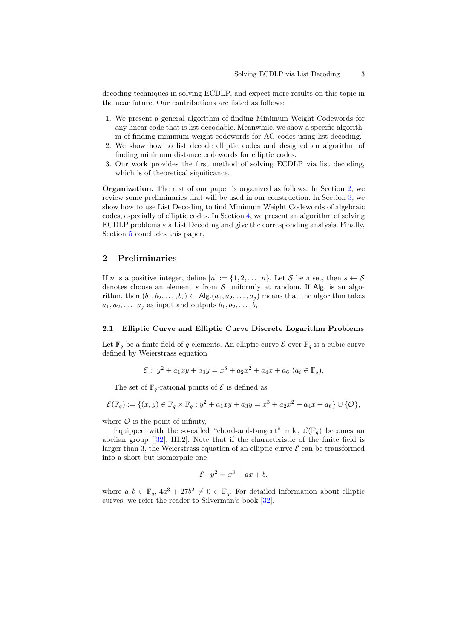decoding techniques in solving ECDLP, and expect more results on this topic in the near future. Our contributions are listed as follows:

- 1. We present a general algorithm of finding Minimum Weight Codewords for any linear code that is list decodable. Meanwhile, we show a specific algorithm of finding minimum weight codewords for AG codes using list decoding.
- 2. We show how to list decode elliptic codes and designed an algorithm of finding minimum distance codewords for elliptic codes.
- 3. Our work provides the first method of solving ECDLP via list decoding, which is of theoretical significance.

Organization. The rest of our paper is organized as follows. In Section [2,](#page-2-0) we review some preliminaries that will be used in our construction. In Section [3,](#page-6-0) we show how to use List Decoding to find Minimum Weight Codewords of algebraic codes, especially of elliptic codes. In Section [4,](#page-14-0) we present an algorithm of solving ECDLP problems via List Decoding and give the corresponding analysis. Finally, Section [5](#page-20-3) concludes this paper,

## <span id="page-2-0"></span>2 Preliminaries

If n is a positive integer, define  $[n] := \{1, 2, \ldots, n\}$ . Let S be a set, then  $s \leftarrow S$ denotes choose an element s from S uniformly at random. If Alg. is an algorithm, then  $(b_1, b_2, \ldots, b_i) \leftarrow \mathsf{Alg}.(a_1, a_2, \ldots, a_i)$  means that the algorithm takes  $a_1, a_2, \ldots, a_j$  as input and outputs  $b_1, b_2, \ldots, b_i$ .

#### 2.1 Elliptic Curve and Elliptic Curve Discrete Logarithm Problems

Let  $\mathbb{F}_q$  be a finite field of q elements. An elliptic curve  $\mathcal E$  over  $\mathbb{F}_q$  is a cubic curve defined by Weierstrass equation

$$
\mathcal{E}: y^2 + a_1xy + a_3y = x^3 + a_2x^2 + a_4x + a_6 \ (a_i \in \mathbb{F}_q).
$$

The set of  $\mathbb{F}_q$ -rational points of  $\mathcal E$  is defined as

$$
\mathcal{E}(\mathbb{F}_q):=\{(x,y)\in\mathbb{F}_q\times\mathbb{F}_q:y^2+a_1xy+a_3y=x^3+a_2x^2+a_4x+a_6\}\cup\{\mathcal{O}\},
$$

where  $\mathcal O$  is the point of infinity,

Equipped with the so-called "chord-and-tangent" rule,  $\mathcal{E}(\mathbb{F}_q)$  becomes an abelian group  $[32]$ , III.2. Note that if the characteristic of the finite field is larger than 3, the Weierstrass equation of an elliptic curve  $\mathcal E$  can be transformed into a short but isomorphic one

$$
\mathcal{E}: y^2 = x^3 + ax + b,
$$

where  $a, b \in \mathbb{F}_q$ ,  $4a^3 + 27b^2 \neq 0 \in \mathbb{F}_q$ . For detailed information about elliptic curves, we refer the reader to Silverman's book [\[32\]](#page-22-9).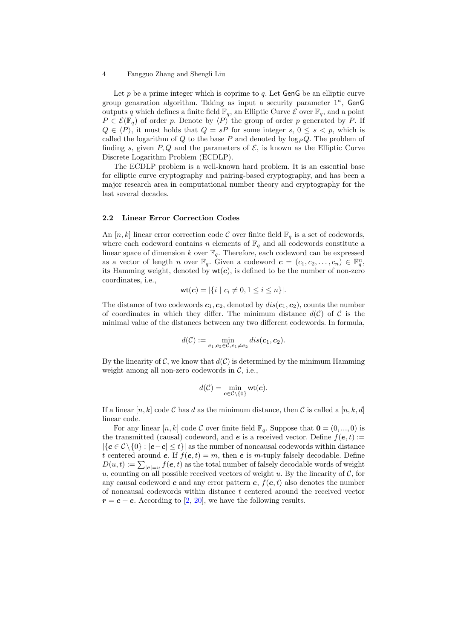Let  $p$  be a prime integer which is coprime to  $q$ . Let  $GenG$  be an elliptic curve group genaration algorithm. Taking as input a security parameter  $1^{\kappa}$ , GenG outputs q which defines a finite field  $\mathbb{F}_q$ , an Elliptic Curve  $\mathcal E$  over  $\mathbb{F}_q$ , and a point  $P \in \mathcal{E}(\mathbb{F}_q)$  of order p. Denote by  $\langle P \rangle$  the group of order p generated by P. If  $Q \in \langle P \rangle$ , it must holds that  $Q = sP$  for some integer s,  $0 \leq s \leq p$ , which is called the logarithm of  $Q$  to the base  $P$  and denoted by  $log_PQ$ . The problem of finding s, given  $P, Q$  and the parameters of  $\mathcal{E}$ , is known as the Elliptic Curve Discrete Logarithm Problem (ECDLP).

The ECDLP problem is a well-known hard problem. It is an essential base for elliptic curve cryptography and pairing-based cryptography, and has been a major research area in computational number theory and cryptography for the last several decades.

#### 2.2 Linear Error Correction Codes

An [n, k] linear error correction code C over finite field  $\mathbb{F}_q$  is a set of codewords, where each codeword contains n elements of  $\mathbb{F}_q$  and all codewords constitute a linear space of dimension k over  $\mathbb{F}_q$ . Therefore, each codeword can be expressed as a vector of length n over  $\mathbb{F}_q$ . Given a codeword  $\boldsymbol{c} = (c_1, c_2, \ldots, c_n) \in \mathbb{F}_q^n$ , its Hamming weight, denoted by  $wt(c)$ , is defined to be the number of non-zero coordinates, i.e.,

$$
\text{wt}(\mathbf{c}) = |\{i \mid c_i \neq 0, 1 \le i \le n\}|.
$$

The distance of two codewords  $c_1, c_2$ , denoted by  $dis(c_1, c_2)$ , counts the number of coordinates in which they differ. The minimum distance  $d(C)$  of C is the minimal value of the distances between any two different codewords. In formula,

$$
d(\mathcal{C}):=\min_{\mathbf{c}_1,\mathbf{c}_2\in\mathcal{C},\mathbf{c}_1\neq\mathbf{c}_2}dis(\mathbf{c}_1,\mathbf{c}_2).
$$

By the linearity of C, we know that  $d(C)$  is determined by the minimum Hamming weight among all non-zero codewords in  $C$ , i.e.,

$$
d(\mathcal{C}) = \min_{\mathbf{c} \in \mathcal{C} \setminus \{0\}} \mathsf{wt}(\mathbf{c}).
$$

If a linear  $[n, k]$  code C has d as the minimum distance, then C is called a  $[n, k, d]$ linear code.

<span id="page-3-0"></span>For any linear  $[n, k]$  code C over finite field  $\mathbb{F}_q$ . Suppose that  $\mathbf{0} = (0, ..., 0)$  is the transmitted (causal) codeword, and e is a received vector. Define  $f(e, t) :=$  $|\{c \in C \setminus \{0\} : |e-c| \leq t\}|$  as the number of noncausal codewords within distance t centered around e. If  $f(e, t) = m$ , then e is m-tuply falsely decodable. Define  $D(u,t) := \sum_{|\mathbf{e}|=u} f(\mathbf{e},t)$  as the total number of falsely decodable words of weight u, counting on all possible received vectors of weight u. By the linearity of  $\mathcal{C}$ , for any causal codeword c and any error pattern  $e, f(e, t)$  also denotes the number of noncausal codewords within distance t centered around the received vector  $r = c + e$ . According to [\[2,](#page-20-4) [20\]](#page-21-12), we have the following results.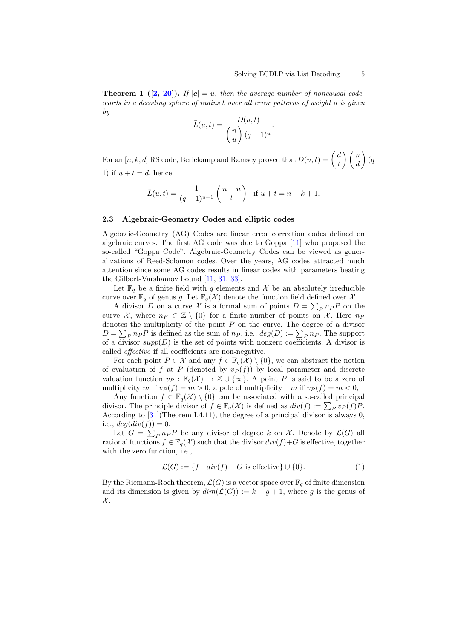**Theorem 1** ([\[2,](#page-20-4) [20\]](#page-21-12)). If  $|e| = u$ , then the average number of noncausal codewords in a decoding sphere of radius t over all error patterns of weight u is given by

$$
\bar{L}(u,t) = \frac{D(u,t)}{\binom{n}{u}(q-1)^u}.
$$

For an  $[n, k, d]$  RS code, Berlekamp and Ramsey proved that  $D(u, t) = \begin{pmatrix} d & b \\ d & d \end{pmatrix}$ t  $\binom{n}{n}$ d  $\bigg)$  (q− 1) if  $u + t = d$ , hence

$$
\bar{L}(u,t) = \frac{1}{(q-1)^{u-1}} \begin{pmatrix} n-u \\ t \end{pmatrix} \text{ if } u+t = n-k+1.
$$

#### 2.3 Algebraic-Geometry Codes and elliptic codes

Algebraic-Geometry (AG) Codes are linear error correction codes defined on algebraic curves. The first AG code was due to Goppa [\[11\]](#page-21-4) who proposed the so-called "Goppa Code". Algebraic-Geometry Codes can be viewed as generalizations of Reed-Solomon codes. Over the years, AG codes attracted much attention since some AG codes results in linear codes with parameters beating the Gilbert-Varshamov bound [\[11,](#page-21-4) [31,](#page-22-10) [33\]](#page-22-11).

Let  $\mathbb{F}_q$  be a finite field with q elements and X be an absolutely irreducible curve over  $\mathbb{F}_q$  of genus g. Let  $\mathbb{F}_q(\mathcal{X})$  denote the function field defined over  $\mathcal{X}$ .

A divisor D on a curve X is a formal sum of points  $D = \sum_{P} n_P P$  on the curve X, where  $n_P \in \mathbb{Z} \setminus \{0\}$  for a finite number of points on X. Here  $n_P$ denotes the multiplicity of the point  $P$  on the curve. The degree of a divisor  $D = \sum_{P} n_{P} P$  is defined as the sum of  $n_{P}$ , i.e.,  $deg(D) := \sum_{P} n_{P}$ . The support of a divisor  $supp(D)$  is the set of points with nonzero coefficients. A divisor is called effective if all coefficients are non-negative.

For each point  $P \in \mathcal{X}$  and any  $f \in \mathbb{F}_q(\mathcal{X}) \setminus \{0\}$ , we can abstract the notion of evaluation of f at P (denoted by  $v_P(f)$ ) by local parameter and discrete valuation function  $v_P : \mathbb{F}_q(\mathcal{X}) \to \mathbb{Z} \cup \{\infty\}$ . A point P is said to be a zero of multiplicity m if  $v_P(f) = m > 0$ , a pole of multiplicity  $-m$  if  $v_P(f) = m < 0$ ,

Any function  $f \in \mathbb{F}_q(\mathcal{X}) \setminus \{0\}$  can be associated with a so-called principal divisor. The principle divisor of  $f \in \mathbb{F}_q(\mathcal{X})$  is defined as  $div(f) := \sum_P v_P(f)P$ . According to [\[31\]](#page-22-10)(Theorem I.4.11), the degree of a principal divisor is always 0, i.e.,  $deg(div(f)) = 0$ .

Let  $G = \sum_P n_P P$  be any divisor of degree k on X. Denote by  $\mathcal{L}(G)$  all rational functions  $f \in \mathbb{F}_q(\mathcal{X})$  such that the divisor  $div(f)+G$  is effective, together with the zero function, i.e.,

<span id="page-4-0"></span>
$$
\mathcal{L}(G) := \{ f \mid div(f) + G \text{ is effective} \} \cup \{ 0 \}. \tag{1}
$$

By the Riemann-Roch theorem,  $\mathcal{L}(G)$  is a vector space over  $\mathbb{F}_q$  of finite dimension and its dimension is given by  $dim(\mathcal{L}(G)) := k - g + 1$ , where g is the genus of  $\mathcal{X}.$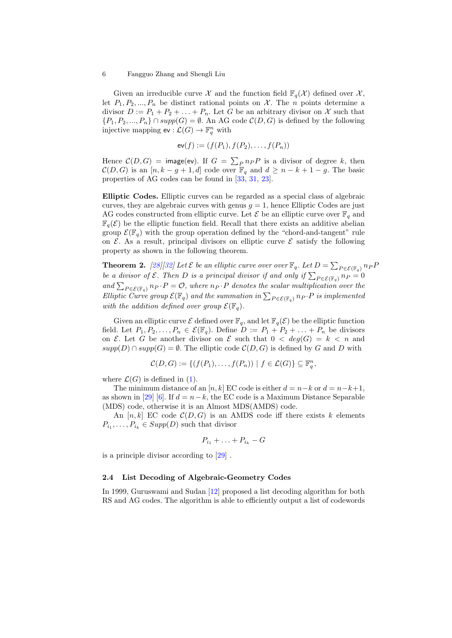Given an irreducible curve X and the function field  $\mathbb{F}_q(\mathcal{X})$  defined over X, let  $P_1, P_2, ..., P_n$  be distinct rational points on X. The *n* points determine a divisor  $D := P_1 + P_2 + \ldots + P_n$ . Let G be an arbitrary divisor on X such that  ${P_1, P_2, ..., P_n} \cap supp(G) = \emptyset$ . An AG code  $C(D, G)$  is defined by the following injective mapping  $ev : \mathcal{L}(G) \to \mathbb{F}_q^n$  with

$$
ev(f) := (f(P_1), f(P_2), \ldots, f(P_n))
$$

Hence  $\mathcal{C}(D, G)$  = image(ev). If  $G = \sum_P n_P P$  is a divisor of degree k, then  $\mathcal{C}(D, G)$  is an  $[n, k - g + 1, d]$  code over  $\mathbb{F}_q$  and  $d \geq n - k + 1 - g$ . The basic properties of AG codes can be found in [\[33,](#page-22-11) [31,](#page-22-10) [23\]](#page-21-13).

Elliptic Codes. Elliptic curves can be regarded as a special class of algebraic curves, they are algebraic curves with genus  $g = 1$ , hence Elliptic Codes are just AG codes constructed from elliptic curve. Let  $\mathcal E$  be an elliptic curve over  $\mathbb F_q$  and  $\mathbb{F}_q(\mathcal{E})$  be the elliptic function field. Recall that there exists an additive abelian group  $\mathcal{E}(\mathbb{F}_q)$  with the group operation defined by the "chord-and-tangent" rule on  $\mathcal E$ . As a result, principal divisors on elliptic curve  $\mathcal E$  satisfy the following property as shown in the following theorem.

<span id="page-5-1"></span>**Theorem 2.** [\[28\]](#page-21-14)[\[32\]](#page-22-9) Let  $\mathcal E$  be an elliptic curve over over  $\mathbb F_q$ . Let  $D = \sum_{P \in \mathcal E(\mathbb F_q)} n_P F$ be a divisor of  $\mathcal E$ . Then D is a principal divisor if and only if  $\sum_{P \in \mathcal E(\mathbb F_q)} n_P = 0$ and  $\sum_{P \in \mathcal{E}(\mathbb{F}_q)} n_P \cdot P = \mathcal{O}$ , where  $n_P \cdot P$  denotes the scalar multiplication over the Elliptic Curve group  $\mathcal{E}(\mathbb{F}_q)$  and the summation in  $\sum_{P \in \mathcal{E}(\mathbb{F}_q)} n_P \cdot P$  is implemented with the addition defined over group  $\mathcal{E}(\mathbb{F}_q)$ .

Given an elliptic curve  $\mathcal E$  defined over  $\mathbb F_q$ , and let  $\mathbb F_q(\mathcal E)$  be the elliptic function field. Let  $P_1, P_2, \ldots, P_n \in \mathcal{E}(\mathbb{F}_q)$ . Define  $D := P_1 + P_2 + \ldots + P_n$  be divisors on  $\mathcal E$ . Let G be another divisor on  $\mathcal E$  such that  $0 < deg(G) = k < n$  and  $supp(D) \cap supp(G) = \emptyset$ . The elliptic code  $C(D, G)$  is defined by G and D with

$$
\mathcal{C}(D,G) := \{ (f(P_1), \ldots, f(P_n)) \mid f \in \mathcal{L}(G) \} \subseteq \mathbb{F}_q^n,
$$

where  $\mathcal{L}(G)$  is defined in [\(1\)](#page-4-0).

The minimum distance of an [n, k] EC code is either  $d = n-k$  or  $d = n-k+1$ , as shown in [\[29\]](#page-21-5) [\[6\]](#page-20-0). If  $d = n - k$ , the EC code is a Maximum Distance Separable (MDS) code, otherwise it is an Almost MDS(AMDS) code.

An  $[n, k]$  EC code  $\mathcal{C}(D, G)$  is an AMDS code iff there exists k elements  $P_{i_1}, \ldots, P_{i_k} \in Supp(D)$  such that divisor

$$
P_{i_1} + \ldots + P_{i_k} - G
$$

is a principle divisor according to [\[29\]](#page-21-5) .

#### <span id="page-5-0"></span>2.4 List Decoding of Algebraic-Geometry Codes

In 1999, Guruswami and Sudan [\[12\]](#page-21-9) proposed a list decoding algorithm for both RS and AG codes. The algorithm is able to efficiently output a list of codewords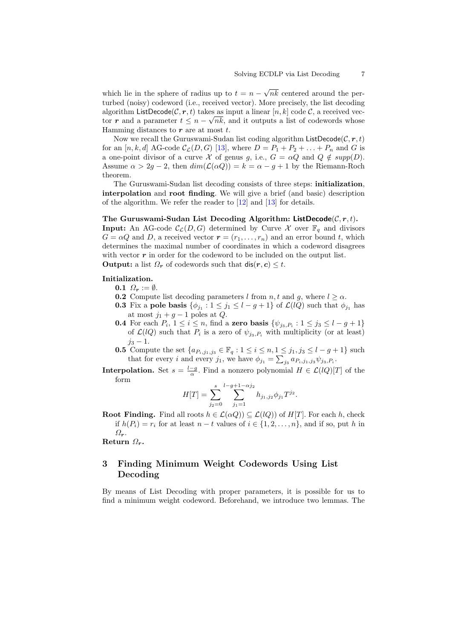which lie in the sphere of radius up to  $t = n -$ √ nk centered around the perturbed (noisy) codeword (i.e., received vector). More precisely, the list decoding algorithm ListDecode $(\mathcal{C}, \mathcal{r}, t)$  takes as input a linear  $[n, k]$  code  $\mathcal{C}$ , a received vector r and a parameter  $t \leq n - \sqrt{n}k$ , and it outputs a list of codewords whose Hamming distances to  $r$  are at most  $t$ .

Now we recall the Guruswami-Sudan list coding algorithm  $ListDecode(C, r, t)$ for an  $[n, k, d]$  AG-code  $\mathcal{C}_{\mathcal{L}}(D, G)$  [\[13\]](#page-21-15), where  $D = P_1 + P_2 + \ldots + P_n$  and G is a one-point divisor of a curve X of genus g, i.e.,  $G = \alpha Q$  and  $Q \notin supp(D)$ . Assume  $\alpha > 2g - 2$ , then  $dim(\mathcal{L}(\alpha Q)) = k = \alpha - g + 1$  by the Riemann-Roch theorem.

The Guruswami-Sudan list decoding consists of three steps: initialization, interpolation and root finding. We will give a brief (and basic) description of the algorithm. We refer the reader to [\[12\]](#page-21-9) and [\[13\]](#page-21-15) for details.

The Guruswami-Sudan List Decoding Algorithm: ListDecode $(C, r, t)$ . **Input:** An AG-code  $\mathcal{C}_{\mathcal{L}}(D, G)$  determined by Curve X over  $\mathbb{F}_q$  and divisors  $G = \alpha Q$  and D, a received vector  $\mathbf{r} = (r_1, \ldots, r_n)$  and an error bound t, which determines the maximal number of coordinates in which a codeword disagrees with vector  $r$  in order for the codeword to be included on the output list. **Output:** a list  $\Omega_r$  of codewords such that  $\text{dis}(r, c) \leq t$ .

### Initialization.

- 0.1  $\Omega_r := \emptyset$ .
- **0.2** Compute list decoding parameters l from n, t and g, where  $l \geq \alpha$ .
- **0.3** Fix a pole basis  $\{\phi_{j_1} : 1 \leq j_1 \leq l g + 1\}$  of  $\mathcal{L}(lQ)$  such that  $\phi_{j_1}$  has at most  $j_1 + g - 1$  poles at  $Q$ .
- **0.4** For each  $P_i$ ,  $1 \leq i \leq n$ , find a **zero basis**  $\{\psi_{j_3, P_i} : 1 \leq j_3 \leq l g + 1\}$ of  $\mathcal{L}(lQ)$  such that  $P_i$  is a zero of  $\psi_{j_3,P_i}$  with multiplicity (or at least)  $j_3 - 1$ .
- **0.5** Compute the set  $\{a_{P_i,j_1,j_3} \in \mathbb{F}_q : 1 \leq i \leq n, 1 \leq j_1, j_3 \leq l g + 1\}$  such that for every *i* and every  $j_1$ , we have  $\phi_{j_1} = \sum_{j_3} a_{P_i,j_1,j_3} \psi_{j_3,P_i}$ .
- **Interpolation.** Set  $s = \frac{l-g}{\alpha}$ . Find a nonzero polynomial  $H \in \mathcal{L}(lQ)[T]$  of the form

$$
H[T] = \sum_{j_2=0}^{s} \sum_{j_1=1}^{l-g+1-\alpha j_2} h_{j_1,j_2} \phi_{j_1} T^{j_2}.
$$

**Root Finding.** Find all roots  $h \in \mathcal{L}(\alpha Q)$   $\subset \mathcal{L}(lQ)$  of  $H[T]$ . For each h, check if  $h(P_i) = r_i$  for at least  $n - t$  values of  $i \in \{1, 2, ..., n\}$ , and if so, put h in  $\Omega_r$ .

Return  $\Omega_r$ .

## <span id="page-6-0"></span>3 Finding Minimum Weight Codewords Using List Decoding

By means of List Decoding with proper parameters, it is possible for us to find a minimum weight codeword. Beforehand, we introduce two lemmas. The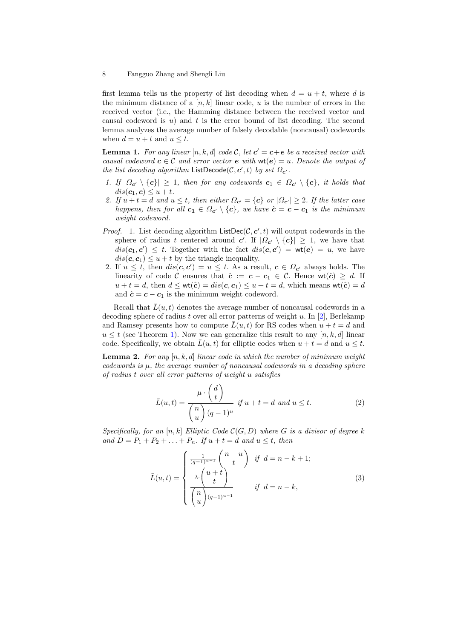first lemma tells us the property of list decoding when  $d = u + t$ , where d is the minimum distance of a  $[n, k]$  linear code, u is the number of errors in the received vector (i.e., the Hamming distance between the received vector and causal codeword is  $u$ ) and  $t$  is the error bound of list decoding. The second lemma analyzes the average number of falsely decodable (noncausal) codewords when  $d = u + t$  and  $u \leq t$ .

<span id="page-7-0"></span>**Lemma 1.** For any linear  $[n, k, d]$  code C, let  $c' = c + e$  be a received vector with causal codeword  $c \in \mathcal{C}$  and error vector  $e$  with  $\text{wt}(e) = u$ . Denote the output of the list decoding algorithm ListDecode( $C, c', t$ ) by set  $\Omega_{c'}$ .

- 1. If  $|\Omega_{c'} \setminus \{c\}| \geq 1$ , then for any codewords  $c_1 \in \Omega_{c'} \setminus \{c\}$ , it holds that  $dis(\mathbf{c}_1, \mathbf{c}) \leq u + t.$
- 2. If  $u + t = d$  and  $u \leq t$ , then either  $\Omega_{c'} = \{c\}$  or  $|\Omega_{c'}| \geq 2$ . If the latter case happens, then for all  $c_1 \in \Omega_{c'} \setminus \{c\}$ , we have  $\hat{c} = c - c_1$  is the minimum weight codeword.
- *Proof.* 1. List decoding algorithm  $ListDec(C, c', t)$  will output codewords in the sphere of radius t centered around c'. If  $|\Omega_{c'} \setminus \{c\}| \geq 1$ , we have that  $dis(\mathbf{c}_1, \mathbf{c}') \leq t$ . Together with the fact  $dis(\mathbf{c}, \mathbf{c}') = \mathsf{wt}(\mathbf{e}) = u$ , we have  $dis(\mathbf{c}, \mathbf{c}_1) \leq u + t$  by the triangle inequality.
- 2. If  $u \leq t$ , then  $dis(\mathbf{c}, \mathbf{c}') = u \leq t$ . As a result,  $\mathbf{c} \in \Omega_{\mathbf{c}'}$  always holds. The linearity of code C ensures that  $\hat{c} := c - c_1 \in C$ . Hence wt $(\hat{c}) \geq d$ . If  $u + t = d$ , then  $d \leq \text{wt}(\hat{c}) = dis(\mathbf{c}, \mathbf{c}_1) \leq u + t = d$ , which means  $\text{wt}(\hat{c}) = d$ and  $\hat{\mathbf{c}} = \mathbf{c} - \mathbf{c}_1$  is the minimum weight codeword.

Recall that  $\bar{L}(u, t)$  denotes the average number of noncausal codewords in a decoding sphere of radius t over all error patterns of weight u. In  $[2]$ , Berlekamp and Ramsey presents how to compute  $\bar{L}(u, t)$  for RS codes when  $u + t = d$  and  $u \leq t$  (see Theorem [1\)](#page-3-0). Now we can generalize this result to any  $[n, k, d]$  linear code. Specifically, we obtain  $\overline{L}(u, t)$  for elliptic codes when  $u + t = d$  and  $u \leq t$ .

<span id="page-7-2"></span>**Lemma 2.** For any  $[n, k, d]$  linear code in which the number of minimum weight codewords is  $\mu$ , the average number of noncausal codewords in a decoding sphere of radius t over all error patterns of weight u satisfies

<span id="page-7-1"></span>
$$
\bar{L}(u,t) = \frac{\mu \cdot \begin{pmatrix} d \\ t \end{pmatrix}}{\begin{pmatrix} n \\ u \end{pmatrix} (q-1)^u} \text{ if } u+t=d \text{ and } u \leq t. \tag{2}
$$

Specifically, for an  $[n, k]$  Elliptic Code  $\mathcal{C}(G, D)$  where G is a divisor of degree k and  $D = P_1 + P_2 + \ldots + P_n$ . If  $u + t = d$  and  $u \leq t$ , then

$$
\bar{L}(u,t) = \begin{cases}\n\frac{1}{(q-1)^{u-1}} \binom{n-u}{t} & \text{if } d = n-k+1; \\
\frac{\lambda \cdot \binom{u+t}{t}}{\binom{n}{u}^{(q-1)^{u-1}}} & \text{if } d = n-k,\n\end{cases}
$$
\n(3)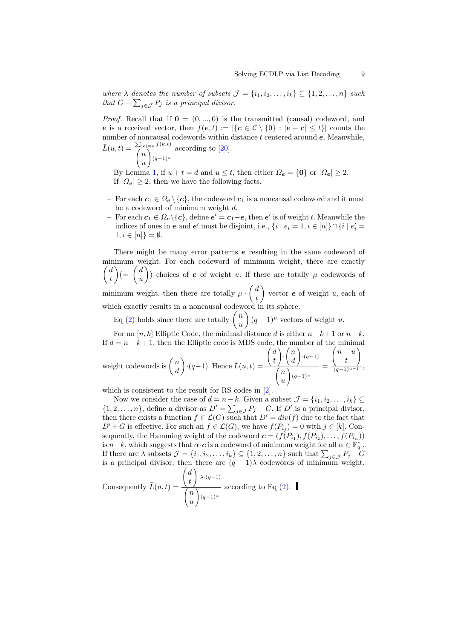where  $\lambda$  denotes the number of subsets  $\mathcal{J} = \{i_1, i_2, \ldots, i_k\} \subseteq \{1, 2, \ldots, n\}$  such that  $G - \sum_{j \in \mathcal{J}} P_j$  is a principal divisor.

*Proof.* Recall that if  $\mathbf{0} = (0, ..., 0)$  is the transmitted (causal) codeword, and e is a received vector, then  $f(e, t) := |\{c \in C \setminus \{0\} : |e - c| \leq t\}|$  counts the number of noncausal codewords within distance  $t$  centered around  $e$ . Meanwhile,  $\bar{L}(u,t) = \frac{\sum_{|e|=u} f(e,t)}{\sum_{h}}$  $\sqrt{ }$  $\mathcal{L}$ n u <sup>1</sup>  $(q-1)^u$ according to [\[20\]](#page-21-12).

By Lemma [1,](#page-7-0) if  $u + t = d$  and  $u \leq t$ , then either  $\Omega_e = \{0\}$  or  $|\Omega_e| \geq 2$ . If  $|\Omega_e| \geq 2$ , then we have the following facts.

- For each  $c_1 \in \Omega_e \setminus \{c\}$ , the codeword  $c_1$  is a noncausal codeword and it must be a codeword of minimum weight d.
- $-$  For each  $c_1 \in \Omega_e \backslash \{c\}$ , define  $e' = c_1 e$ , then  $e'$  is of weight t. Meanwhile the indices of ones in  $e$  and  $e'$  must be disjoint, i.e.,  $\{i \mid e_i = 1, i \in [n]\} \cap \{i \mid e'_i = 1\}$  $1, i \in [n]$  =  $\emptyset$ .

There might be many error patterns e resulting in the same codeword of minimum weight. For each codeword of minimum weight, there are exactly  $\int d$ t  $\Big) (=\int d$ u ) choices of **e** of weight u. If there are totally  $\mu$  codewords of minimum weight, then there are totally  $\mu \cdot \begin{pmatrix} d \\ d \end{pmatrix}$ t vector  $e$  of weight  $u$ , each of which exactly results in a noncausal codeword in its sphere.

Eq [\(2\)](#page-7-1) holds since there are totally  $\binom{n}{n}$ u  $\binom{q-1}{u}$  vectors of weight u.

For an [n, k] Elliptic Code, the minimal distance d is either  $n-k+1$  or  $n-k$ . If  $d = n - k + 1$ , then the Elliptic code is MDS code, the number of the minimal weight codewords is  $\begin{pmatrix} n \\ n \end{pmatrix}$ d  $\cdot(q-1)$ . Hence  $\bar{L}(u,t) =$  $\sqrt{2}$  $\mathcal{L}$ d t A.  $\cdot$  $\sqrt{2}$  $\mathcal{L}$ n d <sup>1</sup>  $\cdot$ <sup>(q-1)</sup>  $\sqrt{ }$ n  $\setminus$  $(q-1)^u$ =  $\sqrt{2}$  $\mathcal{L}$  $n - u$ t  $\setminus$  $\overline{1}$  $\frac{(q-1)^{u-1}}{(q-1)^{u-1}},$ 

 $\mathbf{I}$ 

u

which is consistent to the result for RS codes in [\[2\]](#page-20-4).

Now we consider the case of  $d = n - k$ . Given a subset  $\mathcal{J} = \{i_1, i_2, \ldots, i_k\} \subseteq$  $\{1, 2, \ldots, n\}$ , define a divisor as  $D' = \sum_{j \in J} P_j - G$ . If  $D'$  is a principal divisor, then there exists a function  $f \in \mathcal{L}(G)$  such that  $D' = div(f)$  due to the fact that  $D' + G$  is effective. For such an  $f \in \mathcal{L}(G)$ , we have  $f(P_{i_j}) = 0$  with  $j \in [k]$ . Consequently, the Hamming weight of the codeword  $\boldsymbol{c} = (f(P_{i_1}), f(P_{i_2}), \dots, f(P_{i_n}))$ is  $n-k$ , which suggests that  $\alpha \cdot c$  is a codeword of minimum weight for all  $\alpha \in \mathbb{F}_q^*$ . If there are  $\lambda$  subsets  $\mathcal{J} = \{i_1, i_2, \ldots, i_k\} \subseteq \{1, 2, \ldots, n\}$  such that  $\sum_{j \in \mathcal{J}} P_j - G_j$ is a principal divisor, then there are  $(q - 1)\lambda$  codewords of minimum weight.  $\sqrt{ }$  $\setminus$ 

Consequently  $\bar{L}(u, t) =$  $\mathcal{L}$ d t  $\cdot^{\lambda \cdot (q-1)}$  $\sqrt{2}$  $\mathcal{L}$ n u A.  $(q-1)^u$ according to Eq  $(2)$ .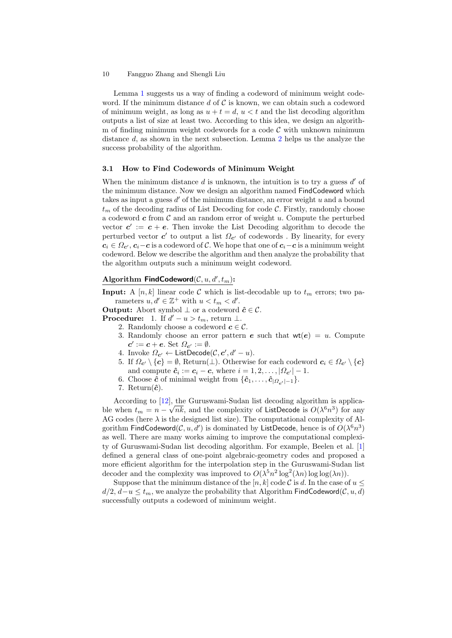Lemma [1](#page-7-0) suggests us a way of finding a codeword of minimum weight codeword. If the minimum distance d of  $\mathcal C$  is known, we can obtain such a codeword of minimum weight, as long as  $u + t = d$ ,  $u < t$  and the list decoding algorithm outputs a list of size at least two. According to this idea, we design an algorithm of finding minimum weight codewords for a code  $\mathcal C$  with unknown minimum distance d, as shown in the next subsection. Lemma [2](#page-7-2) helps us the analyze the success probability of the algorithm.

#### 3.1 How to Find Codewords of Minimum Weight

When the minimum distance  $d$  is unknown, the intuition is to try a guess  $d'$  of the minimum distance. Now we design an algorithm named FindCodeword which takes as input a guess  $d'$  of the minimum distance, an error weight  $u$  and a bound  $t_m$  of the decoding radius of List Decoding for code  $\mathcal{C}$ . Firstly, randomly choose a codeword  $c$  from  $\mathcal C$  and an random error of weight u. Compute the perturbed vector  $c' := c + e$ . Then invoke the List Decoding algorithm to decode the perturbed vector  $c'$  to output a list  $\Omega_{c'}$  of codewords . By linearity, for every  $c_i \in \Omega_{c'}$ ,  $c_i - c$  is a codeword of C. We hope that one of  $c_i - c$  is a minimum weight codeword. Below we describe the algorithm and then analyze the probability that the algorithm outputs such a minimum weight codeword.

## Algorithm FindCodeword $(C, u, d', t_m)$ :

**Input:** A [n, k] linear code C which is list-decodable up to  $t_m$  errors; two parameters  $u, d' \in \mathbb{Z}^+$  with  $u < t_m < d'$ .

**Output:** Abort symbol  $\perp$  or a codeword  $\hat{c} \in \mathcal{C}$ .

**Procedure:** 1. If  $d'-u>t_m$ , return  $\perp$ .

- 2. Randomly choose a codeword  $c \in \mathcal{C}$ .
	- 3. Randomly choose an error pattern **e** such that  $wt(e) = u$ . Compute  $c' := c + e$ . Set  $\Omega_{c'} := \emptyset$ .
	- 4. Invoke  $\Omega_{\mathbf{c}'} \leftarrow \mathsf{ListDecode}(\mathcal{C}, \mathbf{c}', d' u).$
	- 5. If  $\Omega_{c'} \setminus \{c\} = \emptyset$ , Return( $\perp$ ). Otherwise for each codeword  $c_i \in \Omega_{c'} \setminus \{c\}$ and compute  $\hat{\mathbf{c}}_i := \mathbf{c}_i - \mathbf{c}$ , where  $i = 1, 2, \dots, |\Omega_{\mathbf{c}'}| - 1$ .
	- 6. Choose  $\hat{c}$  of minimal weight from  $\{\hat{c}_1, \ldots, \hat{c}_{|\Omega_{\alpha'}|-1}\}.$
	- 7. Return $(\hat{c})$ .

According to [\[12\]](#page-21-9), the Guruswami-Sudan list decoding algorithm is applicable when  $t_m = n - \sqrt{nk}$ , and the complexity of ListDecode is  $O(\lambda^6 n^3)$  for any AG codes (here  $\lambda$  is the designed list size). The computational complexity of Algorithm FindCodeword $(C, u, d')$  is dominated by ListDecode, hence is of  $O(\lambda^6 n^3)$ as well. There are many works aiming to improve the computational complexity of Guruswami-Sudan list decoding algorithm. For example, Beelen et al. [\[1\]](#page-20-5) defined a general class of one-point algebraic-geometry codes and proposed a more efficient algorithm for the interpolation step in the Guruswami-Sudan list decoder and the complexity was improved to  $O(\lambda^5 n^2 \log^2(\lambda n) \log \log(\lambda n)).$ 

<span id="page-9-0"></span>Suppose that the minimum distance of the  $[n, k]$  code C is d. In the case of  $u \leq$  $d/2, d-u \leq t_m$ , we analyze the probability that Algorithm FindCodeword( $\mathcal{C}, u, d$ ) successfully outputs a codeword of minimum weight.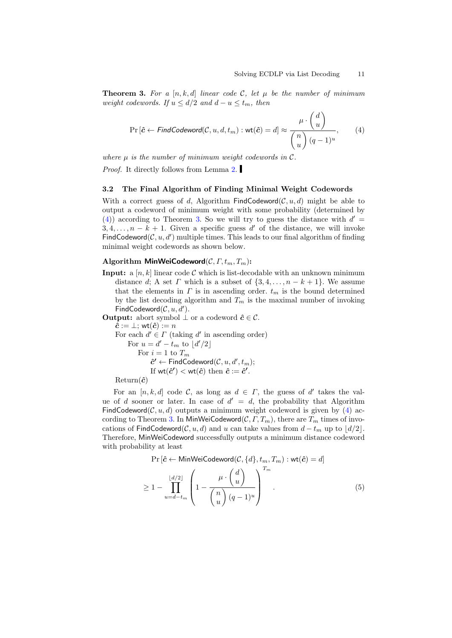**Theorem 3.** For a [n, k, d] linear code C, let  $\mu$  be the number of minimum weight codewords. If  $u \le d/2$  and  $d - u \le t_m$ , then

<span id="page-10-0"></span>
$$
\Pr\left[\hat{c} \leftarrow \text{FindCodeword}(\mathcal{C}, u, d, t_m) : \text{wt}(\hat{c}) = d\right] \approx \frac{\mu \cdot \begin{pmatrix} d \\ u \end{pmatrix}}{\begin{pmatrix} n \\ u \end{pmatrix} (q-1)^u},\tag{4}
$$

where  $\mu$  is the number of minimum weight codewords in  $\mathcal{C}$ .

Proof. It directly follows from Lemma [2.](#page-7-2)

#### 3.2 The Final Algorithm of Finding Minimal Weight Codewords

With a correct guess of d, Algorithm FindCodeword( $\mathcal{C}, u, d$ ) might be able to output a codeword of minimum weight with some probability (determined by [\(4\)](#page-10-0)) according to Theorem [3.](#page-9-0) So we will try to guess the distance with  $d' =$  $3, 4, \ldots, n - k + 1$ . Given a specific guess d' of the distance, we will invoke FindCodeword( $C, u, d'$ ) multiple times. This leads to our final algorithm of finding minimal weight codewords as shown below.

## Algorithm MinWeiCodeword $(C, \Gamma, t_m, T_m)$ :

**Input:** a  $[n, k]$  linear code C which is list-decodable with an unknown minimum distance d; A set  $\Gamma$  which is a subset of  $\{3, 4, \ldots, n - k + 1\}$ . We assume that the elements in  $\Gamma$  is in ascending order.  $t_m$  is the bound determined by the list decoding algorithm and  $T_m$  is the maximal number of invoking FindCodeword $(C, u, d')$ .

**Output:** abort symbol  $\perp$  or a codeword  $\hat{c} \in \mathcal{C}$ .  $\hat{\boldsymbol{c}} := \bot;$  wt $(\hat{\boldsymbol{c}}) := n$ For each  $d' \in \Gamma$  (taking d' in ascending order) For  $u = d' - t_m$  to  $\lfloor d'/2 \rfloor$ For  $i=1$  to  $\mathcal{T}_m$  $\hat{c}' \leftarrow \mathsf{FindCoderodeword}(\mathcal{C}, u, d', t_m);$ If  $wt(\hat{c}') < wt(\hat{c})$  then  $\hat{c} := \hat{c}'$ .

 $Return(\hat{c})$ 

For an  $[n, k, d]$  code C, as long as  $d \in \Gamma$ , the guess of d' takes the value of d sooner or later. In case of  $d' = d$ , the probability that Algorithm FindCodeword( $\mathcal{C}, u, d$ ) outputs a minimum weight codeword is given by [\(4\)](#page-10-0) ac-cording to Theorem [3.](#page-9-0) In MinWeiCodeword $(C, \Gamma, T_m)$ , there are  $T_m$  times of invocations of FindCodeword(C, u, d) and u can take values from  $d - t_m$  up to  $\lfloor d/2 \rfloor$ . Therefore, MinWeiCodeword successfully outputs a minimum distance codeword with probability at least

<span id="page-10-1"></span>
$$
\Pr\left[\hat{c} \leftarrow \text{MinWeighted } C, \{d\}, t_m, T_m\right) : \text{wt}(\hat{c}) = d\right]
$$
\n
$$
\geq 1 - \prod_{u=d-t_m}^{\lfloor d/2 \rfloor} \left( 1 - \frac{\mu \cdot \binom{d}{u}}{\binom{n}{u} (q-1)^u} \right)^{T_m} . \tag{5}
$$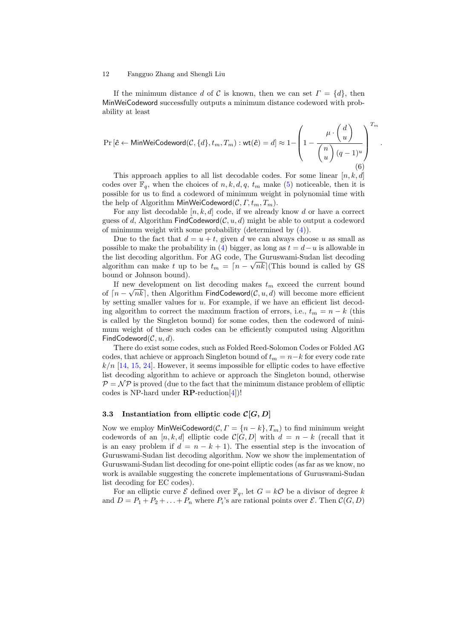If the minimum distance d of C is known, then we can set  $\Gamma = \{d\}$ , then MinWeiCodeword successfully outputs a minimum distance codeword with probability at least

<span id="page-11-1"></span>
$$
\Pr\left[\hat{c} \leftarrow \text{MinWeiCodeword}(\mathcal{C}, \{d\}, t_m, T_m) : \text{wt}(\hat{c}) = d\right] \approx 1 - \left(1 - \frac{\mu \cdot \begin{pmatrix} d \\ u \end{pmatrix}}{\begin{pmatrix} n \\ u \end{pmatrix} (q-1)^u} \right)^{T_m}
$$
\n(6)

.

This approach applies to all list decodable codes. For some linear  $[n, k, d]$ codes over  $\mathbb{F}_q$ , when the choices of  $n, k, d, q, t_m$  make [\(5\)](#page-10-1) noticeable, then it is possible for us to find a codeword of minimum weight in polynomial time with the help of Algorithm MinWeiCodeword $(C, \Gamma, t_m, T_m)$ .

For any list decodable  $[n, k, d]$  code, if we already know d or have a correct guess of d, Algorithm FindCodeword $(C, u, d)$  might be able to output a codeword of minimum weight with some probability (determined by [\(4\)](#page-10-0)).

Due to the fact that  $d = u + t$ , given d we can always choose u as small as possible to make the probability in [\(4\)](#page-10-0) bigger, as long as  $t = d - u$  is allowable in the list decoding algorithm. For AG code, The Guruswami-Sudan list decoding √ algorithm can make t up to be  $t_m = \lceil n - \sqrt{nk} \rceil$  (This bound is called by GS bound or Johnson bound).

If new development on list decoding makes  $t_m$  exceed the current bound of  $\lceil n - \sqrt{n}k \rceil$ , then Algorithm FindCodeword $(\mathcal{C}, u, d)$  will become more efficient by setting smaller values for  $u$ . For example, if we have an efficient list decoding algorithm to correct the maximum fraction of errors, i.e.,  $t_m = n - k$  (this is called by the Singleton bound) for some codes, then the codeword of minimum weight of these such codes can be efficiently computed using Algorithm FindCodeword $(C, u, d)$ .

There do exist some codes, such as Folded Reed-Solomon Codes or Folded AG codes, that achieve or approach Singleton bound of  $t_m = n-k$  for every code rate  $k/n$  [\[14,](#page-21-16) [15,](#page-21-17) [24\]](#page-21-18). However, it seems impossible for elliptic codes to have effective list decoding algorithm to achieve or approach the Singleton bound, otherwise  $P = \mathcal{NP}$  is proved (due to the fact that the minimum distance problem of elliptic codes is NP-hard under  $\mathbb{RP}\text{-reduction}[4]$  $\mathbb{RP}\text{-reduction}[4]$ !

### <span id="page-11-0"></span>3.3 Instantiation from elliptic code  $\mathcal{C}[G, D]$

Now we employ MinWeiCodeword( $\mathcal{C}, \Gamma = \{n - k\}, T_m)$  to find minimum weight codewords of an [n, k, d] elliptic code  $C[G, D]$  with  $d = n - k$  (recall that it is an easy problem if  $d = n - k + 1$ . The essential step is the invocation of Guruswami-Sudan list decoding algorithm. Now we show the implementation of Guruswami-Sudan list decoding for one-point elliptic codes (as far as we know, no work is available suggesting the concrete implementations of Guruswami-Sudan list decoding for EC codes).

For an elliptic curve  $\mathcal E$  defined over  $\mathbb F_q$ , let  $G = k\mathcal O$  be a divisor of degree k and  $D = P_1 + P_2 + \ldots + P_n$  where  $P_i$ 's are rational points over  $\mathcal{E}$ . Then  $\mathcal{C}(G, D)$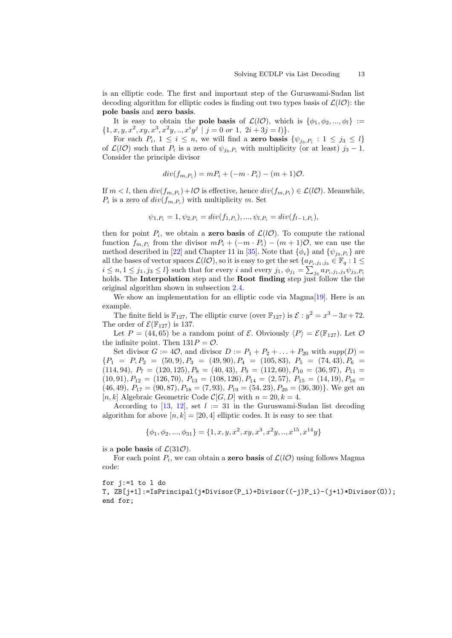is an elliptic code. The first and important step of the Guruswami-Sudan list decoding algorithm for elliptic codes is finding out two types basis of  $\mathcal{L}(l\mathcal{O})$ : the pole basis and zero basis.

It is easy to obtain the **pole basis** of  $\mathcal{L}(l\mathcal{O})$ , which is  $\{\phi_1, \phi_2, ..., \phi_l\}$  :=  $\{1, x, y, x^2, xy, x^3, x^2y, \dots, x^iy^j \mid j = 0 \text{ or } 1, 2i + 3j = l\}.$ 

For each  $P_i$ ,  $1 \leq i \leq n$ , we will find a **zero basis**  $\{\psi_{j_3, P_i} : 1 \leq j_3 \leq l\}$ of  $\mathcal{L}(lO)$  such that  $P_i$  is a zero of  $\psi_{j_3,P_i}$  with multiplicity (or at least)  $j_3-1$ . Consider the principle divisor

$$
div(f_{m,P_i}) = mP_i + (-m \cdot P_i) - (m+1)\mathcal{O}.
$$

If  $m < l$ , then  $div(f_{m,P_i}) + l\mathcal{O}$  is effective, hence  $div(f_{m,P_i}) \in \mathcal{L}(l\mathcal{O})$ . Meanwhile,  $P_i$  is a zero of  $div(f_{m,P_i})$  with multiplicity m. Set

$$
\psi_{1,P_i} = 1, \psi_{2,P_i} = div(f_{1,P_i}), ..., \psi_{l,P_i} = div(f_{l-1,P_i}),
$$

then for point  $P_i$ , we obtain a **zero basis** of  $\mathcal{L}(l\mathcal{O})$ . To compute the rational function  $f_{m,P_i}$  from the divisor  $mP_i + (-m \cdot P_i) - (m+1)\mathcal{O}$ , we can use the method described in [\[22\]](#page-21-19) and Chapter 11 in [\[35\]](#page-22-12). Note that  $\{\phi_i\}$  and  $\{\psi_{j_3,P_i}\}$  are all the bases of vector spaces  $\mathcal{L}(l\mathcal{O})$ , so it is easy to get the set  $\{a_{P_i,j_1,j_3} \in \mathbb{F}_q : 1 \leq j \leq r\}$  $i \leq n, 1 \leq j_1, j_3 \leq l$  such that for every  $i$  and every  $j_1, \phi_{j_1} = \sum_{j_3} a_{P_i, j_1, j_3} \psi_{j_3, P_i}$ holds. The **Interpolation** step and the **Root finding** step just follow the the original algorithm shown in subsection [2.4.](#page-5-0)

We show an implementation for an elliptic code via Magma[\[19\]](#page-21-20). Here is an example.

The finite field is  $\mathbb{F}_{127}$ , The elliptic curve (over  $\mathbb{F}_{127}$ ) is  $\mathcal{E}: y^2 = x^3 - 3x + 72$ . The order of  $\mathcal{E}(\mathbb{F}_{127})$  is 137.

Let  $P = (44, 65)$  be a random point of  $\mathcal{E}$ . Obviously  $\langle P \rangle = \mathcal{E}(\mathbb{F}_{127})$ . Let  $\mathcal{O}$ the infinite point. Then  $131P = \mathcal{O}$ .

Set divisor  $G := 4\mathcal{O}$ , and divisor  $D := P_1 + P_2 + \ldots + P_{20}$  with  $supp(D) =$  ${P_1 = P, P_2 = (50, 9), P_3 = (49, 90), P_4 = (105, 83), P_5 = (74, 43), P_6 =$  $(114, 94), P_7 = (120, 125), P_8 = (40, 43), P_9 = (112, 60), P_{10} = (36, 97), P_{11} =$  $(10, 91), P_{12} = (126, 70), P_{13} = (108, 126), P_{14} = (2, 57), P_{15} = (14, 19), P_{16} =$  $(46, 49), P_{17} = (90, 87), P_{18} = (7, 93), P_{19} = (54, 23), P_{20} = (36, 30)$ . We get an [n, k] Algebraic Geometric Code  $\mathcal{C}[G, D]$  with  $n = 20, k = 4$ .

According to [\[13,](#page-21-15) [12\]](#page-21-9), set  $l := 31$  in the Guruswami-Sudan list decoding algorithm for above  $[n, k] = [20, 4]$  elliptic codes. It is easy to see that

$$
\{\phi_1, \phi_2, ..., \phi_{31}\} = \{1, x, y, x^2, xy, x^3, x^2y, ..., x^{15}, x^{14}y\}
$$

is a **pole basis** of  $\mathcal{L}(31\mathcal{O})$ .

For each point  $P_i$ , we can obtain a **zero basis** of  $\mathcal{L}(l\mathcal{O})$  using follows Magma code:

for j:=1 to l do T, ZB[j+1]:=IsPrincipal(j\*Divisor(P\_i)+Divisor((-j)P\_i)-(j+1)\*Divisor(O)); end for;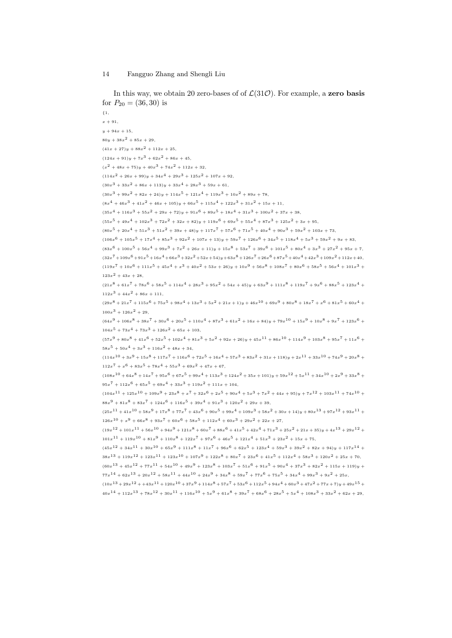```
In this way, we obtain 20 zero-bases of of \mathcal{L}(31\mathcal{O}). For example, a zero basis
for P_{20} = (36, 30) is
{1}x + 91,y + 94x + 1580y + 38x^{2} + 85x + 29,(41x + 27)y + 88x^{2} + 112x + 25,(124x + 91)y + 7x^3 + 62x^2 + 86x + 45,(x^{2} + 48x + 75)y + 40x^{3} + 74x^{2} + 112x + 32,(114x<sup>2</sup> + 26x + 99)y + 34x<sup>4</sup> + 29x<sup>3</sup> + 125x<sup>2</sup> + 107x + 92,(30x<sup>3</sup> + 33x<sup>2</sup> + 86x + 113)y + 33x<sup>4</sup> + 28x<sup>3</sup> + 59x + 61,(30x<sup>3</sup> + 99x<sup>2</sup> + 82x + 24)y + 114x<sup>5</sup> + 121x<sup>4</sup> + 119x<sup>3</sup> + 10x<sup>2</sup> + 89x + 78,(8x<sup>4</sup> + 46x<sup>3</sup> + 41x<sup>2</sup> + 46x + 105)y + 66x<sup>5</sup> + 115x<sup>4</sup> + 122x<sup>3</sup> + 31x<sup>2</sup> + 15x + 11,(35x<sup>4</sup> + 116x<sup>3</sup> + 55x<sup>2</sup> + 29x + 72)y + 91x<sup>6</sup> + 89x<sup>5</sup> + 18x<sup>4</sup> + 31x<sup>3</sup> + 100x<sup>2</sup> + 37x + 38,(55x<sup>5</sup> + 49x<sup>4</sup> + 102x<sup>3</sup> + 72x<sup>2</sup> + 32x + 82)y + 119x<sup>6</sup> + 69x<sup>5</sup> + 55x<sup>4</sup> + 87x<sup>3</sup> + 125x<sup>2</sup> + 3x + 95,(80x^5 + 20x^4 + 51x^3 + 51x^2 + 39x + 48)y + 117x^7 + 57x^6 + 71x^5 + 40x^4 + 90x^3 + 59x^2 + 103x + 73(106x<sup>6</sup> + 105x<sup>5</sup> + 17x<sup>4</sup> + 85x<sup>3</sup> + 92x<sup>2</sup> + 107x + 13)y + 59x<sup>7</sup> + 126x<sup>6</sup> + 34x<sup>5</sup> + 118x<sup>4</sup> + 5x<sup>3</sup> + 59x<sup>2</sup> + 9x + 83,(83x^6 + 100x^5 + 56x^4 + 99x^3 + 7x^2 + 26x + 11)y + 15x^8 + 53x^7 + 39x^6 + 101x^5 + 80x^4 + 3x^3 + 27x^2 + 95x + 7(32x^7 + 109x^6 + 91x^5 + 16x^4 + 66x^3 + 32x^2 + 52x + 54)y + 63x^8 + 126x^7 + 26x^6 + 87x^5 + 40x^4 + 42x^3 + 109x^2 + 112x + 40(119x<sup>7</sup> + 10x<sup>6</sup> + 111x<sup>5</sup> + 45x<sup>4</sup> + x<sup>3</sup> + 40x<sup>2</sup> + 53x + 26)y + 10x<sup>9</sup> + 56x<sup>8</sup> + 108x<sup>7</sup> + 80x<sup>6</sup> + 58x<sup>5</sup> + 56x<sup>4</sup> + 101x<sup>3</sup> + 58x<sup>4</sup> + 101x<sup>3</sup> + 58x<sup>4</sup> + 101x<sup>3</sup> + 58123x^2 + 43x + 28,(21x^8 + 61x^7 + 78x^6 + 58x^5 + 114x^4 + 28x^3 + 95x^2 + 54x + 45)y + 63x^9 + 111x^8 + 119x^7 + 9x^6 + 88x^5 + 123x^4 +112x^3 + 44x^2 + 86x + 111,(29x^8 + 21x^7 + 115x^6 + 75x^5 + 98x^4 + 13x^3 + 5x^2 + 21x + 1)y + 46x^{10} + 69x^9 + 80x^8 + 18x^7 + x^6 + 81x^5 + 60x^4 +100x^3 + 126x^2 + 29,
(64x^9 + 106x^8 + 38x^7 + 30x^6 + 20x^5 + 110x^4 + 87x^3 + 61x^2 + 16x + 84)y + 79x^{10} + 15x^9 + 10x^8 + 9x^7 + 123x^6 +104x^5 + 73x^4 + 73x^3 + 126x^2 + 65x + 103(57x^9 + 80x^8 + 41x^6 + 52x^5 + 102x^4 + 81x^3 + 5x^2 + 92x + 26)y + 45x^{11} + 86x^{10} + 114x^9 + 103x^8 + 95x^7 + 11x^6 +58x^5 + 50x^4 + 3x^3 + 116x^2 + 48x + 34,(114x^{10} + 3x^9 + 15x^8 + 117x^7 + 116x^6 + 72x^5 + 16x^4 + 57x^3 + 83x^2 + 31x + 118)y + 2x^{11} + 33x^{10} + 74x^9 + 20x^8 +112x^{7} + x^{6} + 83x^{5} + 78x^{4} + 55x^{3} + 69x^{2} + 47x + 67,(108x<sup>10</sup> + 64x<sup>8</sup> + 14x<sup>7</sup> + 95x<sup>6</sup> + 67x<sup>5</sup> + 99x<sup>4</sup> + 113x<sup>3</sup> + 124x<sup>2</sup> + 35x + 101)y + 59x<sup>12</sup> + 5x<sup>11</sup> + 34x<sup>10</sup> + 2x<sup>9</sup> + 33x<sup>8</sup> +95x^{7} + 112x^{6} + 65x^{5} + 69x^{4} + 33x^{3} + 119x^{2} + 111x + 104(104x^{11} + 125x^{10} + 109x^9 + 23x^8 + x^7 + 32x^6 + 2x^5 + 90x^4 + 5x^3 + 7x^2 + 44x + 95)y + 7x^{12} + 103x^{11} + 74x^{10} +88x^{9} + 81x^{8} + 83x^{7} + 124x^{6} + 116x^{5} + 39x^{4} + 91x^{3} + 120x^{2} + 29x + 39(25x^{11} + 41x^{10} + 58x^9 + 17x^8 + 77x^7 + 43x^6 + 90x^5 + 99x^4 + 109x^3 + 58x^2 + 30x + 14)y + 80x^{13} + 97x^{12} + 93x^{11} +126x^{10} + x^9 + 66x^8 + 93x^7 + 60x^6 + 58x^5 + 112x^4 + 60x^3 + 29x^2 + 22x + 27(19x^{12} + 101x^{11} + 56x^{10} + 94x^9 + 121x^8 + 60x^7 + 88x^6 + 41x^5 + 42x^4 + 71x^3 + 25x^2 + 21x + 35)y + 4x^{13} + 29x^{12} +101x^{11} + 119x^{10} + 81x^9 + 110x^8 + 122x^7 + 97x^6 + 46x^5 + 121x^4 + 51x^3 + 23x^2 + 15x + 75(45x^{12} + 34x^{11} + 30x^{10} + 65x^{9} + 111x^{8} + 11x^{7} + 96x^{6} + 62x^{5} + 123x^{4} + 59x^{3} + 39x^{2} + 82x + 94)y + 117x^{14} +38x^{13} + 119x^{12} + 123x^{11} + 123x^{10} + 107x^9 + 122x^8 + 80x^7 + 23x^6 + 41x^5 + 112x^4 + 58x^3 + 120x^2 + 25x + 70(60x^{13} + 45x^{12} + 77x^{11} + 54x^{10} + 49x^9 + 123x^8 + 103x^7 + 51x^6 + 91x^5 + 90x^4 + 37x^3 + 82x^2 + 115x + 119)y +77x^{14} + 62x^{13} + 20x^{12} + 58x^{11} + 44x^{10} + 24x^9 + 34x^8 + 59x^7 + 77x^6 + 75x^5 + 34x^4 + 99x^3 + 9x^2 + 25x(10x^{13} + 29x^{12} + 43x^{11} + 120x^{10} + 37x^9 + 114x^8 + 57x^7 + 53x^6 + 112x^5 + 94x^4 + 60x^3 + 47x^2 + 77x + 7)y + 49x^{15} +40x^{14} + 112x^{13} + 78x^{12} + 30x^{11} + 116x^{10} + 5x^9 + 61x^8 + 39x^7 + 68x^6 + 28x^5 + 5x^4 + 108x^3 + 33x^2 + 62x + 29
```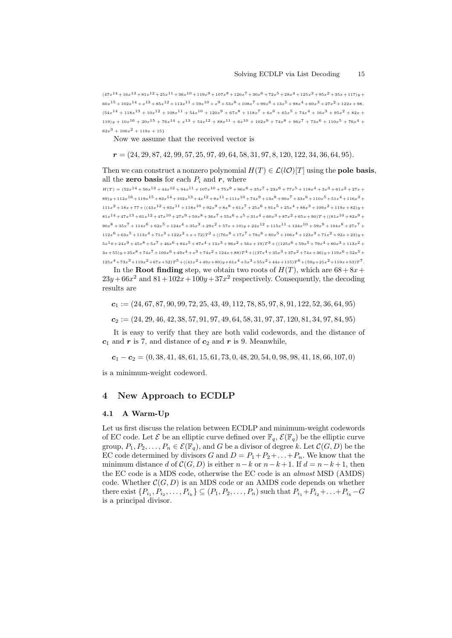$(47x^{14} + 16x^{13} + 81x^{12} + 25x^{11} + 36x^{10} + 119x^9 + 107x^8 + 120x^7 + 30x^6 + 72x^5 + 28x^4 + 125x^3 + 95x^2 + 35x + 117)y +$  $60x^{15} + 102x^{14} + x^{13} + 85x^{12} + 113x^{11} + 59x^{10} + x^9 + 53x^8 + 108x^7 + 99x^6 + 13x^5 + 98x^4 + 60x^3 + 27x^2 + 122x + 98$  $(54x^{14} + 118x^{13} + 10x^{12} + 108x^{11} + 54x^{10} + 120x^9 + 67x^8 + 118x^7 + 6x^6 + 65x^5 + 74x^4 + 16x^3 + 95x^2 + 82x +$  $119)y + 10x^{16} + 20x^{15} + 76x^{14} + x^{13} + 54x^{12} + 88x^{11} + 6x^{10} + 102x^9 + 74x^8 + 96x^7 + 73x^6 + 110x^5 + 76x^4 +$  $62x^3 + 106x^2 + 119x + 15$ 

Now we assume that the received vector is

 $r = (24, 29, 87, 42, 99, 57, 25, 97, 49, 64, 58, 31, 97, 8, 120, 122, 34, 36, 64, 95).$ 

Then we can construct a nonzero polynomial  $H(T) \in \mathcal{L}(\mathcal{U})[T]$  using the **pole basis**, all the **zero basis** for each  $P_i$  and  $r$ , where

 $H(T) = (52x^{14} + 56x^{13} + 44x^{12} + 94x^{11} + 107x^{10} + 75x^9 + 96x^8 + 35x^7 + 23x^6 + 77x^5 + 118x^4 + 3x^3 + 61x^2 + 27x +$  $89)$ y+112x<sup>16</sup>+119x<sup>15</sup>+83x<sup>14</sup>+102x<sup>13</sup>+4x<sup>12</sup>+8x<sup>11</sup>+111x<sup>10</sup>+74x<sup>9</sup>+13x<sup>8</sup>+90x<sup>7</sup>+33x<sup>6</sup>+110x<sup>5</sup>+51x<sup>4</sup>+116x<sup>3</sup>+  $111x^2 + 18x + 77 + ((43x^{12} + 93x^{11} + 118x^{10} + 92x^9 + 8x^8 + 61x^7 + 25x^6 + 91x^5 + 25x^4 + 88x^3 + 109x^2 + 119x + 82)y +$  $81x^{14} + 47x^{13} + 61x^{12} + 47x^{10} + 27x^9 + 50x^8 + 36x^7 + 55x^6 + x^5 + 31x^4 + 60x^3 + 87x^2 + 65x + 90)T + ((81x^{10} + 82x^9 + 12x^5 + 31x^4 + 60x^3 + 87x^2 + 65x^2 + 67x^3 + 16x^2 + 16x^2 + 16x^3 + 16x^2 + 16x^2 + 16x^2 + 16x^3 + 16x^2 + 16x^2 +$  $90x^8 + 35x^7 + 114x^6 + 62x^5 + 124x^4 + 35x^3 + 29x^2 + 57x + 10)y + 22x^{12} + 115x^{11} + 124x^{10} + 59x^9 + 104x^8 + 27x^7 +$  $112x^6 + 63x^5 + 113x^4 + 71x^3 + 122x^2 + x + 72)T^2 + ((76x^8 + 17x^7 + 78x^6 + 80x^5 + 106x^4 + 123x^3 + 71x^2 + 92x + 23)y +$  $5x^10+24x^9+45x^8+5x^7+46x^6+84x^5+87x^4+13x^3+96x^2+56x+19)T^3+((125x^6+59x^5+79x^4+80x^3+113x^2+77x^3+115x^2+115x^3+115x^2+115x^3+115x^2+115x^3+115x^2+115x^3+115x^2+115x^2+115x^3+115x^2+115x^3+115x^2+115x^3+115x^2+115x^$  $3x+55y+35x^8+74x^7+100x^6+49x^4+x^3+74x^2+124x+88$   $T^4 +((37x^4+35x^3+37x^2+74x+36)y+119x^6+52x^5+74x^3+124x^2+124x+88)$  $125x^4 + 73x^3 + 119x^2 + 67x + 52)T^5 + ((41x^2 + 49x + 80)y + 61x^4 + 5x^3 + 55x^2 + 44x + 115)T^6 + (59y + 21x^2 + 119x + 53)T^7$ 

In the **Root finding** step, we obtain two roots of  $H(T)$ , which are  $68 + 8x +$  $23y + 66x^2$  and  $81 + 102x + 100y + 37x^2$  respectively. Consequently, the decoding results are

 $c_1 := (24, 67, 87, 90, 99, 72, 25, 43, 49, 112, 78, 85, 97, 8, 91, 122, 52, 36, 64, 95)$ 

 $c_2 := (24, 29, 46, 42, 38, 57, 91, 97, 49, 64, 58, 31, 97, 37, 120, 81, 34, 97, 84, 95)$ 

It is easy to verify that they are both valid codewords, and the distance of  $c_1$  and r is 7, and distance of  $c_2$  and r is 9. Meanwhile,

 $c_1 - c_2 = (0, 38, 41, 48, 61, 15, 61, 73, 0, 48, 20, 54, 0, 98, 98, 41, 18, 66, 107, 0)$ 

is a minimum-weight codeword.

## <span id="page-14-0"></span>4 New Approach to ECDLP

#### 4.1 A Warm-Up

Let us first discuss the relation between ECDLP and minimum-weight codewords of EC code. Let  $\mathcal E$  be an elliptic curve defined over  $\mathbb F_q$ ,  $\mathcal E(\mathbb F_q)$  be the elliptic curve group,  $P_1, P_2, \ldots, P_n \in \mathcal{E}(\mathbb{F}_q)$ , and G be a divisor of degree k. Let  $\mathcal{C}(G, D)$  be the EC code determined by divisors G and  $D = P_1 + P_2 + \ldots + P_n$ . We know that the minimum distance d of  $\mathcal{C}(G, D)$  is either  $n-k$  or  $n-k+1$ . If  $d = n-k+1$ , then the EC code is a MDS code, otherwise the EC code is an almost MSD (AMDS) code. Whether  $\mathcal{C}(G, D)$  is an MDS code or an AMDS code depends on whether there exist  $\{P_{i_1}, P_{i_2}, \ldots, P_{i_k}\} \subseteq (P_1, P_2, \ldots, P_n)$  such that  $P_{i_1} + P_{i_2} + \ldots + P_{i_k} - G$ is a principal divisor.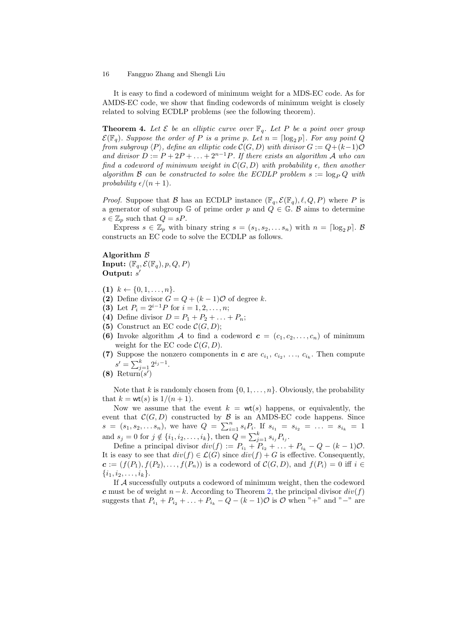It is easy to find a codeword of minimum weight for a MDS-EC code. As for AMDS-EC code, we show that finding codewords of minimum weight is closely related to solving ECDLP problems (see the following theorem).

**Theorem 4.** Let  $\mathcal{E}$  be an elliptic curve over  $\mathbb{F}_q$ . Let P be a point over group  $\mathcal{E}(\mathbb{F}_q)$ . Suppose the order of P is a prime p. Let  $n = \lceil \log_2 p \rceil$ . For any point Q from subgroup  $\langle P \rangle$ , define an elliptic code  $\mathcal{C}(G, D)$  with divisor  $G := Q + (k-1)\mathcal{O}$ and divisor  $D := P + 2P + \ldots + 2^{n-1}P$ . If there exists an algorithm A who can find a codeword of minimum weight in  $\mathcal{C}(G, D)$  with probability  $\epsilon$ , then another algorithm B can be constructed to solve the ECDLP problem  $s := \log_P Q$  with probability  $\epsilon/(n + 1)$ .

*Proof.* Suppose that B has an ECDLP instance  $(\mathbb{F}_q, \mathcal{E}(\mathbb{F}_q), \ell, Q, P)$  where P is a generator of subgroup  $\mathbb{G}$  of prime order p and  $Q \in \mathbb{G}$ . B aims to determine  $s \in \mathbb{Z}_p$  such that  $Q = sP$ .

Express  $s \in \mathbb{Z}_p$  with binary string  $s = (s_1, s_2, \ldots s_n)$  with  $n = \lceil \log_2 p \rceil$ . B constructs an EC code to solve the ECDLP as follows.

Algorithm B Input:  $(\mathbb{F}_q, \mathcal{E}(\mathbb{F}_q), p, Q, P)$ Output:  $s'$ 

- (1)  $k \leftarrow \{0, 1, \ldots, n\}.$
- (2) Define divisor  $G = Q + (k-1)\mathcal{O}$  of degree k.
- (3) Let  $P_i = 2^{i-1}P$  for  $i = 1, 2, ..., n;$
- (4) Define divisor  $D = P_1 + P_2 + ... + P_n;$
- (5) Construct an EC code  $\mathcal{C}(G, D)$ ;
- (6) Invoke algorithm A to find a codeword  $\mathbf{c} = (c_1, c_2, \ldots, c_n)$  of minimum weight for the EC code  $\mathcal{C}(G, D)$ .
- (7) Suppose the nonzero components in c are  $c_{i_1}, c_{i_2}, \ldots, c_{i_k}$ . Then compute  $s' = \sum_{j=1}^{k} 2^{i_j - 1}.$
- $(8)$  Return $(s')$

Note that k is randomly chosen from  $\{0, 1, \ldots, n\}$ . Obviously, the probability that  $k = wt(s)$  is  $1/(n + 1)$ .

Now we assume that the event  $k = wt(s)$  happens, or equivalently, the event that  $C(G, D)$  constructed by  $\beta$  is an AMDS-EC code happens. Since  $s = (s_1, s_2, \ldots, s_n)$ , we have  $Q = \sum_{i=1}^n s_i P_i$ . If  $s_{i_1} = s_{i_2} = \ldots = s_{i_k} = 1$ and  $s_j = 0$  for  $j \notin \{i_1, i_2, \ldots, i_k\}$ , then  $Q = \sum_{j=1}^k s_{i_j} P_{i_j}$ .

Define a principal divisor  $div(f) := P_{i_1} + P_{i_2} + \ldots + P_{i_k} - Q - (k-1)Q$ . It is easy to see that  $div(f) \in \mathcal{L}(G)$  since  $div(f) + G$  is effective. Consequently,  $\mathbf{c} := (f(P_1), f(P_2), \ldots, f(P_n))$  is a codeword of  $\mathcal{C}(G, D)$ , and  $f(P_i) = 0$  iff  $i \in$  $\{i_1, i_2, \ldots, i_k\}.$ 

If A successfully outputs a codeword of minimum weight, then the codeword c must be of weight  $n - k$ . According to Theorem [2,](#page-5-1) the principal divisor  $div(f)$ suggests that  $P_{i_1} + P_{i_2} + ... + P_{i_k} - Q - (k-1)O$  is O when "+" and "-" are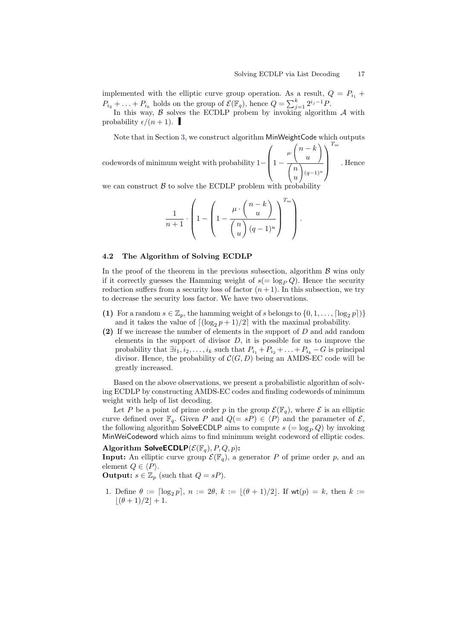implemented with the elliptic curve group operation. As a result,  $Q = P_{i_1} +$  $P_{i_2} + \ldots + P_{i_k}$  holds on the group of  $\mathcal{E}(\mathbb{F}_q)$ , hence  $Q = \sum_{j=1}^k 2^{i_j - 1} P$ .

In this way,  $\beta$  solves the ECDLP probem by invoking algorithm  $\mathcal A$  with probability  $\epsilon/(n + 1)$ .

Note that in Section [3,](#page-6-0) we construct algorithm MinWeightCode which outputs

codewords of minimum weight with probability 1−  $\sqrt{ }$  1 −  $\mu$  $\sqrt{2}$  $\mathcal{L}$  $n - k$ u A.  $\overline{1}$  $\sqrt{2}$  $\mathcal{L}$ n u A.  $(q-1)^u$  $\setminus$  $\Big\}$  $T_m$ . Hence

we can construct  $\beta$  to solve the ECDLP problem with probability

$$
\frac{1}{n+1} \cdot \left(1 - \left(1 - \frac{\mu \cdot {n-k \choose u}}{{n \choose u} (q-1)^u}\right)^{T_m}\right).
$$

#### 4.2 The Algorithm of Solving ECDLP

In the proof of the theorem in the previous subsection, algorithm  $\beta$  wins only if it correctly guesses the Hamming weight of  $s(=\log_P Q)$ . Hence the security reduction suffers from a security loss of factor  $(n+1)$ . In this subsection, we try to decrease the security loss factor. We have two observations.

- (1) For a random  $s \in \mathbb{Z}_p$ , the hamming weight of s belongs to  $\{0, 1, \ldots, \lceil \log_2 p \rceil\}$ and it takes the value of  $\lfloor (\log_2 p + 1)/2 \rfloor$  with the maximal probability.
- (2) If we increase the number of elements in the support of D and add random elements in the support of divisor  $D$ , it is possible for us to improve the probability that  $\exists i_1, i_2, \ldots, i_k$  such that  $P_{i_1} + P_{i_2} + \ldots + P_{i_k} - G$  is principal divisor. Hence, the probability of  $\mathcal{C}(G, D)$  being an AMDS-EC code will be greatly increased.

Based on the above observations, we present a probabilistic algorithm of solving ECDLP by constructing AMDS-EC codes and finding codewords of minimum weight with help of list decoding.

Let P be a point of prime order p in the group  $\mathcal{E}(\mathbb{F}_q)$ , where  $\mathcal E$  is an elliptic curve defined over  $\mathbb{F}_q$ . Given P and  $Q(= sP) \in \langle P \rangle$  and the parameter of  $\mathcal{E},$ the following algorithm SolveECDLP aims to compute  $s (= \log_P Q)$  by invoking MinWeiCodeword which aims to find minimum weight codeword of elliptic codes.

Algorithm SolveECDLP( $\mathcal{E}(\mathbb{F}_q)$ ,  $P, Q, p$ ):

**Input:** An elliptic curve group  $\mathcal{E}(\mathbb{F}_q)$ , a generator P of prime order p, and an element  $Q \in \langle P \rangle$ .

**Output:**  $s \in \mathbb{Z}_p$  (such that  $Q = sP$ ).

1. Define  $\theta := \lceil \log_2 p \rceil, n := 2\theta, k := \lfloor (\theta + 1)/2 \rfloor$ . If wt $(p) = k$ , then  $k :=$  $|(\theta + 1)/2| + 1.$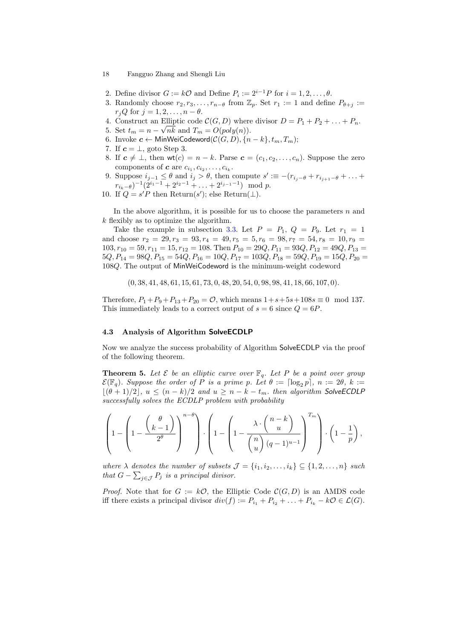- 2. Define divisor  $G := k\mathcal{O}$  and Define  $P_i := 2^{i-1}P$  for  $i = 1, 2, ..., \theta$ .
- 3. Randomly choose  $r_2, r_3, \ldots, r_{n-\theta}$  from  $\mathbb{Z}_p$ . Set  $r_1 := 1$  and define  $P_{\theta+j} :=$  $r_iQ$  for  $j = 1, 2, \ldots, n - \theta$ .
- 4. Construct an Elliptic code  $\mathcal{C}(G, D)$  where divisor  $D = P_1 + P_2 + \ldots + P_n$ .
- 5. Set  $t_m = n \sqrt{n}k$  and  $T_m = O(poly(n)).$
- 6. Invoke  $c$  ← MinWeiCodeword( $\mathcal{C}(G, D)$ ,  ${n k}, t_m, T_m$ );
- 7. If  $c = \perp$ , goto Step 3.
- 8. If  $c \neq \bot$ , then wt $(c) = n k$ . Parse  $c = (c_1, c_2, \ldots, c_n)$ . Suppose the zero components of  $c$  are  $c_{i_1}, c_{i_2}, \ldots, c_{i_k}$ .
- 9. Suppose  $i_{j-1} \leq \theta$  and  $i_j > \theta$ , then compute  $s' \equiv -(r_{i_j-\theta} + r_{i_{j+1}-\theta} + \ldots +$  $r_{i_k-\theta}$ )<sup>-1</sup>(2<sup>i<sub>1</sub>-1</sup> + 2<sup>i<sub>2</sub>-1</sup> + ... + 2<sup>i<sub>j-1</sub>-1</sup>) mod p.
- 10. If  $Q = s'P$  then Return(s'); else Return( $\perp$ ).

In the above algorithm, it is possible for us to choose the parameters  $n$  and k flexibly as to optimize the algorithm.

Take the example in subsection [3.3.](#page-11-0) Let  $P = P_1$ ,  $Q = P_9$ . Let  $r_1 = 1$ and choose  $r_2 = 29, r_3 = 93, r_4 = 49, r_5 = 5, r_6 = 98, r_7 = 54, r_8 = 10, r_9 =$  $103, r_{10} = 59, r_{11} = 15, r_{12} = 108$ . Then  $P_{10} = 29Q, P_{11} = 93Q, P_{12} = 49Q, P_{13} =$  $5Q, P_{14} = 98Q, P_{15} = 54Q, P_{16} = 10Q, P_{17} = 103Q, P_{18} = 59Q, P_{19} = 15Q, P_{20} =$ 108Q. The output of MinWeiCodeword is the minimum-weight codeword

(0, 38, 41, 48, 61, 15, 61, 73, 0, 48, 20, 54, 0, 98, 98, 41, 18, 66, 107, 0).

Therefore,  $P_1 + P_9 + P_{13} + P_{20} = \mathcal{O}$ , which means  $1 + s + 5s + 108s \equiv 0 \mod 137$ . This immediately leads to a correct output of  $s = 6$  since  $Q = 6P$ .

#### 4.3 Analysis of Algorithm SolveECDLP

Now we analyze the success probability of Algorithm SolveECDLP via the proof of the following theorem.

**Theorem 5.** Let  $\mathcal{E}$  be an elliptic curve over  $\mathbb{F}_q$ . Let P be a point over group  $\mathcal{E}(\mathbb{F}_q)$ . Suppose the order of P is a prime p. Let  $\theta := \lceil \log_2 p \rceil$ ,  $n := 2\theta$ ,  $k :=$  $\lfloor(\theta + 1)/2\rfloor$ ,  $u \leq (n - k)/2$  and  $u \geq n - k - t_m$ . then algorithm SolveECDLP successfully solves the ECDLP problem with probability

$$
\left(1-\left(1-\frac{\left(\frac{\theta}{k-1}\right)}{2^{\theta}}\right)^{n-\theta}\right)\cdot\left(1-\left(1-\frac{\lambda\cdot\left(\frac{n-k}{u}\right)}{\left(\frac{n}{u}\right)(q-1)^{u-1}}\right)^{T_m}\right)\cdot\left(1-\frac{1}{p}\right),\right)
$$

where  $\lambda$  denotes the number of subsets  $\mathcal{J} = \{i_1, i_2, \ldots, i_k\} \subseteq \{1, 2, \ldots, n\}$  such that  $G - \sum_{j \in \mathcal{J}} P_j$  is a principal divisor.

*Proof.* Note that for  $G := k\mathcal{O}$ , the Elliptic Code  $\mathcal{C}(G, D)$  is an AMDS code iff there exists a principal divisor  $div(f) := P_{i_1} + P_{i_2} + \ldots + P_{i_k} - k\mathcal{O} \in \mathcal{L}(G)$ .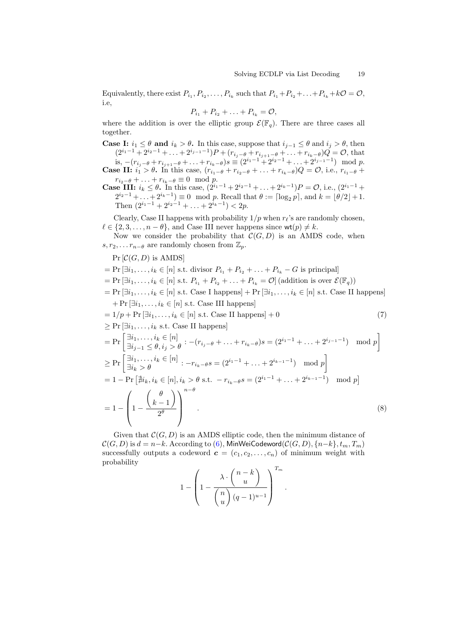Equivalently, there exist  $P_{i_1}, P_{i_2}, \ldots, P_{i_k}$  such that  $P_{i_1} + P_{i_2} + \ldots + P_{i_k} + k\mathcal{O} = \mathcal{O}$ , i.e,

$$
P_{i_1}+P_{i_2}+\ldots+P_{i_k}=\mathcal{O},
$$

where the addition is over the elliptic group  $\mathcal{E}(\mathbb{F}_q)$ . There are three cases all together.

**Case I:**  $i_1 \leq \theta$  and  $i_k > \theta$ . In this case, suppose that  $i_{i-1} \leq \theta$  and  $i_j > \theta$ , then  $(2^{i_1-1}+2^{i_2-1}+\ldots+2^{i_{j-1}-1})P+(r_{i_j-\theta}+r_{i_{j+1}-\theta}+\ldots+r_{i_k-\theta})Q=\mathcal{O}$ , that is,  $-(r_{i_j-\theta}+r_{i_{j+1}-\theta}+\ldots+r_{i_k-\theta})s \equiv (2^{i_1-1}+2^{i_2-1}+\ldots+2^{i_{j-1}-1}) \mod p.$ **Case II:**  $i_1 > \theta$ . In this case,  $(r_{i_1-\theta} + r_{i_2-\theta} + \ldots + r_{i_k-\theta})Q = \mathcal{O}$ , i.e.,  $r_{i_1-\theta}$  $r_{i_2-\theta} + \ldots + r_{i_k-\theta} \equiv 0 \mod p.$ 

**Case III:**  $i_k \leq \theta$ . In this case,  $(2^{i_1-1}+2^{i_2-1}+\ldots+2^{i_k-1})P = \mathcal{O}$ , i.e.,  $(2^{i_1-1}+$  $2^{i_2-1} + ... + 2^{i_k-1} \equiv 0 \mod p$ . Recall that  $\theta := \lceil \log_2 p \rceil$ , and  $k = \lfloor \theta/2 \rfloor + 1$ . Then  $(2^{i_1-1}+2^{i_2-1}+\ldots+2^{i_k-1})<2p$ .

Clearly, Case II happens with probability  $1/p$  when  $r_{\ell}$ 's are randomly chosen,  $\ell \in \{2, 3, \ldots, n - \theta\}$ , and Case III never happens since wt $(p) \neq k$ .

Now we consider the probability that  $\mathcal{C}(G, D)$  is an AMDS code, when  $s, r_2, \ldots r_{n-\theta}$  are randomly chosen from  $\mathbb{Z}_p$ .

<span id="page-18-0"></span> $Pr[\mathcal{C}(G, D)]$  is AMDS

- $= Pr \left[\exists i_1, \ldots, i_k \in [n] \right]$  s.t. divisor  $P_{i_1} + P_{i_2} + \ldots + P_{i_k} G$  is principal
- $=$  Pr  $[\exists i_1, \ldots, i_k \in [n] \text{ s.t. } P_{i_1} + P_{i_2} + \ldots + P_{i_k} = \mathcal{O}]$  (addition is over  $\mathcal{E}(\mathbb{F}_q)$ )

 $=$  Pr  $[\exists i_1, \ldots, i_k \in [n]$  s.t. Case I happens]  $+$  Pr  $[\exists i_1, \ldots, i_k \in [n]$  s.t. Case II happens]  $+$  Pr  $[\exists i_1, \ldots, i_k \in [n]$  s.t. Case III happens]

$$
= 1/p + \Pr\left[\exists i_1, \ldots, i_k \in [n] \text{ s.t. Case II happens}\right] + 0 \tag{7}
$$
\n
$$
\geq \Pr\left[\exists i_1, \ldots, i_k \text{ s.t. Case II happens}\right]
$$
\n
$$
= \Pr\left[\exists i_1, \ldots, i_k \in [n] \atop \exists i_{j-1} \leq \theta, i_j > \theta \right] \cdot -(r_{i_j} - \theta + \ldots + r_{i_k} - \theta)s = (2^{i_1 - 1} + \ldots + 2^{i_{j-1} - 1}) \mod p \right]
$$
\n
$$
\geq \Pr\left[\exists i_1, \ldots, i_k \in [n] \atop \exists i_k > \theta \right] \cdot -r_{i_k} - \theta s = (2^{i_1 - 1} + \ldots + 2^{i_{k-1} - 1}) \mod p \right]
$$
\n(7)

$$
= 1 - \Pr\left[\nexists i_k, i_k \in [n], i_k > \theta \text{ s.t. } -r_{i_k - \theta} s = (2^{i_1 - 1} + \dots + 2^{i_{k-1} - 1}) \mod p\right]
$$
\n
$$
= 1 - \left(1 - \frac{\binom{\theta}{k-1}}{2^{\theta}}\right)^{n-\theta}.\tag{8}
$$

Given that  $\mathcal{C}(G, D)$  is an AMDS elliptic code, then the minimum distance of  $\mathcal{C}(G, D)$  is  $d = n-k$ . According to [\(6\)](#page-11-1), MinWeiCodeword( $\mathcal{C}(G, D)$ ,  $\{n-k\}, t_m, T_m$ ) successfully outputs a codeword  $\mathbf{c} = (c_1, c_2, \ldots, c_n)$  of minimum weight with probability

$$
1 - \left(1 - \frac{\lambda \cdot {n-k \choose u}}{{n \choose u} (q-1)^{u-1}} \right)^{T_m}.
$$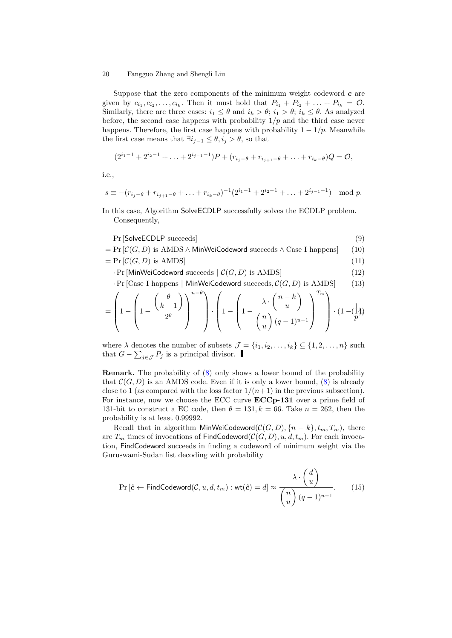Suppose that the zero components of the minimum weight codeword  $c$  are given by  $c_{i_1}, c_{i_2}, \ldots, c_{i_k}$ . Then it must hold that  $P_{i_1} + P_{i_2} + \ldots + P_{i_k} = \mathcal{O}$ . Similarly, there are three cases:  $i_1 \leq \theta$  and  $i_k > \theta$ ;  $i_1 > \theta$ ;  $i_k \leq \theta$ . As analyzed before, the second case happens with probability  $1/p$  and the third case never happens. Therefore, the first case happens with probability  $1 - 1/p$ . Meanwhile the first case means that  $\exists i_{i-1} \leq \theta, i_i > \theta$ , so that

$$
(2^{i_1-1}+2^{i_2-1}+\ldots+2^{i_{j-1}-1})P+(r_{i_j-\theta}+r_{i_{j+1}-\theta}+\ldots+r_{i_k-\theta})Q=0,
$$

i.e.,

$$
s \equiv -(r_{i_j-\theta} + r_{i_{j+1}-\theta} + \ldots + r_{i_k-\theta})^{-1} (2^{i_1-1} + 2^{i_2-1} + \ldots + 2^{i_{j-1}-1}) \mod p.
$$

In this case, Algorithm SolveECDLP successfully solves the ECDLP problem. Consequently,

$$
Pr[SolveECDLP succeeds] \tag{9}
$$

- $= Pr \left[ \mathcal{C}(G, D) \right]$  is AMDS ∧ MinWeiCodeword succeeds ∧ Case I happens [(10)
- $= \Pr \left[ \mathcal{C}(G, D) \text{ is AMDS} \right]$  (11)
	- $\cdot$  Pr [MinWeiCodeword succeeds  $| C(G, D)$  is AMDS] (12)

$$
\cdot \Pr[\text{Case I happens} \mid \text{MinWeiCodeword succeeds}, \mathcal{C}(G, D) \text{ is AMDS}] \tag{13}
$$

$$
= \left(1 - \left(1 - \frac{\binom{\theta}{k-1}}{2^{\theta}}\right)^{n-\theta}\right) \cdot \left(1 - \left(1 - \frac{\lambda \cdot \binom{n-k}{u}}{\binom{n}{u} (q-1)^{u-1}}\right)^{T_m}\right) \cdot \left(1 - \left(\frac{1}{p}\right)\right)
$$

where  $\lambda$  denotes the number of subsets  $\mathcal{J} = \{i_1, i_2, \ldots, i_k\} \subseteq \{1, 2, \ldots, n\}$  such that  $G - \sum_{j \in \mathcal{J}} P_j$  is a principal divisor.

Remark. The probability of [\(8\)](#page-18-0) only shows a lower bound of the probability that  $\mathcal{C}(G, D)$  is an AMDS code. Even if it is only a lower bound, [\(8\)](#page-18-0) is already close to 1 (as compared with the loss factor  $1/(n+1)$  in the previous subsection). For instance, now we choose the ECC curve **ECCp-131** over a prime field of 131-bit to construct a EC code, then  $\theta = 131, k = 66$ . Take  $n = 262$ , then the probability is at least 0.99992.

Recall that in algorithm MinWeiCodeword( $\mathcal{C}(G, D)$ , {n – k},  $t_m, T_m$ ), there are  $T_m$  times of invocations of FindCodeword( $\mathcal{C}(G, D), u, d, t_m$ ). For each invocation, FindCodeword succeeds in finding a codeword of minimum weight via the Guruswami-Sudan list decoding with probability

<span id="page-19-0"></span>
$$
\Pr\left[\hat{\mathbf{c}} \leftarrow \mathsf{FindCodeword}(\mathcal{C}, u, d, t_m) : \mathsf{wt}(\hat{\mathbf{c}}) = d\right] \approx \frac{\lambda \cdot \begin{pmatrix} d \\ u \end{pmatrix}}{\begin{pmatrix} n \\ u \end{pmatrix} (q-1)^{u-1}}.
$$
(15)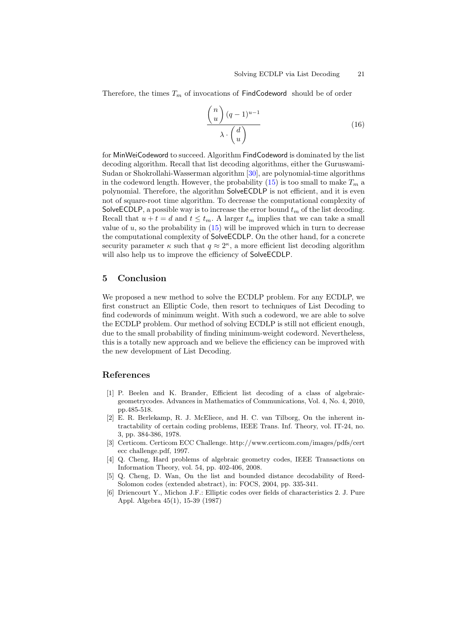Therefore, the times  $T_m$  of invocations of FindCodeword should be of order

$$
\frac{\binom{n}{u}(q-1)^{u-1}}{\lambda \cdot \binom{d}{u}}
$$
\n(16)

for MinWeiCodeword to succeed. Algorithm FindCodeword is dominated by the list decoding algorithm. Recall that list decoding algorithms, either the Guruswami-Sudan or Shokrollahi-Wasserman algorithm [\[30\]](#page-22-8), are polynomial-time algorithms in the codeword length. However, the probability [\(15\)](#page-19-0) is too small to make  $T_m$  a polynomial. Therefore, the algorithm SolveECDLP is not efficient, and it is even not of square-root time algorithm. To decrease the computational complexity of SolveECDLP, a possible way is to increase the error bound  $t_m$  of the list decoding. Recall that  $u + t = d$  and  $t \leq t_m$ . A larger  $t_m$  implies that we can take a small value of  $u$ , so the probability in  $(15)$  will be improved which in turn to decrease the computational complexity of SolveECDLP. On the other hand, for a concrete security parameter  $\kappa$  such that  $q \approx 2^{\kappa}$ , a more efficient list decoding algorithm will also help us to improve the efficiency of SolveECDLP.

## <span id="page-20-3"></span>5 Conclusion

We proposed a new method to solve the ECDLP problem. For any ECDLP, we first construct an Elliptic Code, then resort to techniques of List Decoding to find codewords of minimum weight. With such a codeword, we are able to solve the ECDLP problem. Our method of solving ECDLP is still not efficient enough, due to the small probability of finding minimum-weight codeword. Nevertheless, this is a totally new approach and we believe the efficiency can be improved with the new development of List Decoding.

## References

- <span id="page-20-5"></span>[1] P. Beelen and K. Brander, Efficient list decoding of a class of algebraicgeometrycodes. Advances in Mathematics of Communications, Vol. 4, No. 4, 2010, pp.485-518.
- <span id="page-20-4"></span>[2] E. R. Berlekamp, R. J. McEliece, and H. C. van Tilborg, On the inherent intractability of certain coding problems, IEEE Trans. Inf. Theory, vol. IT-24, no. 3, pp. 384-386, 1978.
- [3] Certicom. Certicom ECC Challenge. http://www.certicom.com/images/pdfs/cert ecc challenge.pdf, 1997.
- <span id="page-20-1"></span>[4] Q. Cheng, Hard problems of algebraic geometry codes, IEEE Transactions on Information Theory, vol. 54, pp. 402-406, 2008.
- <span id="page-20-2"></span>[5] Q. Cheng, D. Wan, On the list and bounded distance decodability of Reed-Solomon codes (extended abstract), in: FOCS, 2004, pp. 335-341.
- <span id="page-20-0"></span>[6] Driencourt Y., Michon J.F.: Elliptic codes over fields of characteristics 2. J. Pure Appl. Algebra 45(1), 15-39 (1987)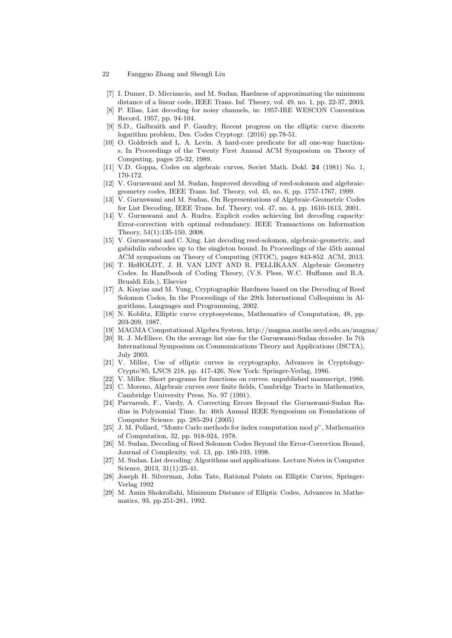- [7] I. Dumer, D. Micciancio, and M. Sudan, Hardness of approximating the minimum distance of a linear code, IEEE Trans. Inf. Theory, vol. 49, no. 1, pp. 22-37, 2003.
- <span id="page-21-6"></span>[8] P. Elias, List decoding for noisy channels, in: 1957-IRE WESCON Convention Record, 1957, pp. 94-104.
- <span id="page-21-3"></span>[9] S.D., Galbraith and P. Gaudry, Recent progress on the elliptic curve discrete logarithm problem, Des. Codes Cryptogr. (2016) pp.78-51.
- <span id="page-21-7"></span>[10] O. Goldreich and L. A. Levin. A hard-core predicate for all one-way functions. In Proceedings of the Twenty First Annual ACM Symposium on Theory of Computing, pages 25-32, 1989.
- <span id="page-21-4"></span>[11] V.D. Goppa, Codes on algebraic curves, Soviet Math. Dokl. 24 (1981) No. 1, 170-172.
- <span id="page-21-9"></span>[12] V. Guruswami and M. Sudan, Improved decoding of reed-solomon and algebraicgeometry codes, IEEE Trans. Inf. Theory, vol. 45, no. 6, pp. 1757-1767, 1999.
- <span id="page-21-15"></span>[13] V. Guruswami and M. Sudan, On Representations of Algebraic-Geometric Codes for List Decoding, IEEE Trans. Inf. Theory, vol. 47, no. 4, pp. 1610-1613, 2001.
- <span id="page-21-16"></span>[14] V. Guruswami and A. Rudra. Explicit codes achieving list decoding capacity: Error-correction with optimal redundancy. IEEE Transactions on Information Theory, 54(1):135-150, 2008.
- <span id="page-21-17"></span>[15] V. Guruswami and C. Xing. List decoding reed-solomon, algebraic-geometric, and gabidulin subcodes up to the singleton bound. In Proceedings of the 45th annual ACM symposium on Theory of Computing (STOC), pages 843-852. ACM, 2013.
- [16] T. HøHOLDT, J. H. VAN LINT AND R. PELLIKAAN. Algebraic Geometry Codes. In Handbook of Coding Theory, (V.S. Pless, W.C. Huffamn and R.A. Brualdi Eds.), Elsevier
- <span id="page-21-11"></span>[17] A. Kiayias and M. Yung, Cryptographic Hardness based on the Decoding of Reed Solomon Codes, In the Proceedings of the 29th International Colloquium in Algorithms, Languages and Programming, 2002.
- <span id="page-21-0"></span>[18] N. Koblitz, Elliptic curve cryptosystems, Mathematics of Computation, 48, pp. 203-209, 1987.
- <span id="page-21-20"></span>[19] MAGMA Computational Algebra System, http://magma.maths.usyd.edu.au/magma/
- <span id="page-21-12"></span>[20] R. J. McEliece. On the average list size for the Guruswami-Sudan decoder. In 7th International Symposium on Communications Theory and Applications (ISCTA), July 2003.
- <span id="page-21-1"></span>[21] V. Miller, Use of elliptic curves in cryptography, Advances in Cryptology-Crypto'85, LNCS 218, pp. 417-426, New York: Springer-Verlag, 1986.
- <span id="page-21-19"></span>[22] V. Miller. Short programs for functions on curves. unpublished manuscript, 1986.
- <span id="page-21-13"></span>[23] C. Moreno, Algebraic curves over finite fields, Cambridge Tracts in Mathematics, Cambridge University Press, No. 97 (1991).
- <span id="page-21-18"></span>[24] Parvaresh, F., Vardy, A. Correcting Errors Beyond the Guruswami-Sudan Radius in Polynomial Time. In: 46th Annual IEEE Symposium on Foundations of Computer Science. pp. 285-294 (2005)
- <span id="page-21-2"></span>[25] J. M. Pollard, "Monte Carlo methods for index computation mod p", Mathematics of Computation, 32, pp. 918-924, 1978.
- <span id="page-21-8"></span>[26] M. Sudan, Decoding of Reed Solomon Codes Beyond the Error-Correction Bound, Journal of Complexity, vol. 13, pp. 180-193, 1998.
- <span id="page-21-10"></span>[27] M. Sudan. List decoding: Algorithms and applications. Lecture Notes in Computer Science, 2013, 31(1):25-41.
- <span id="page-21-14"></span>[28] Joseph H. Silverman, John Tate, Rational Points on Elliptic Curves, Springer-Verlag 1992
- <span id="page-21-5"></span>[29] M. Amin Shokrollahi, Minimum Distance of Elliptic Codes, Advances in Mathematics, 93, pp.251-281, 1992.